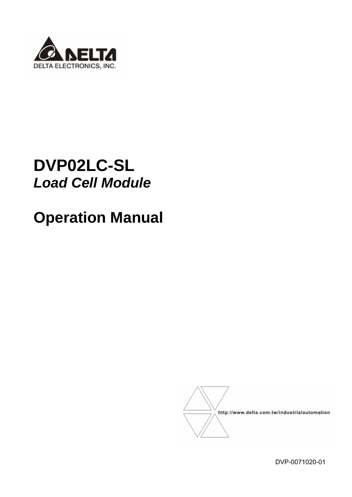

# **DVP02LC-SL**  *Load Cell Module*

# **Operation Manual**



DVP-0071020-01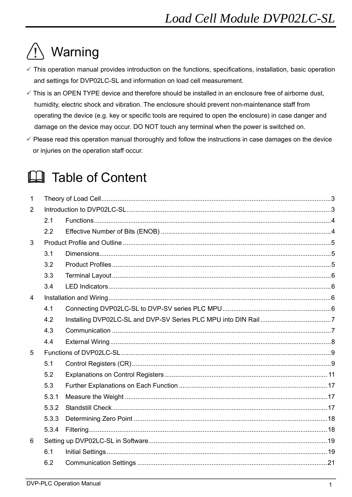# Warning

- $\checkmark$  This operation manual provides introduction on the functions, specifications, installation, basic operation and settings for DVP02LC-SL and information on load cell measurement.
- $\checkmark$  This is an OPEN TYPE device and therefore should be installed in an enclosure free of airborne dust, humidity, electric shock and vibration. The enclosure should prevent non-maintenance staff from operating the device (e.g. key or specific tools are required to open the enclosure) in case danger and damage on the device may occur. DO NOT touch any terminal when the power is switched on.
- $\checkmark$  Please read this operation manual thoroughly and follow the instructions in case damages on the device or injuries on the operation staff occur.

# **Ed** Table of Content

| $\mathbf{1}$   |       |  |  |  |  |  |  |  |  |
|----------------|-------|--|--|--|--|--|--|--|--|
| 2              |       |  |  |  |  |  |  |  |  |
|                | 2.1   |  |  |  |  |  |  |  |  |
|                | 2.2   |  |  |  |  |  |  |  |  |
| 3              |       |  |  |  |  |  |  |  |  |
|                | 3.1   |  |  |  |  |  |  |  |  |
|                | 3.2   |  |  |  |  |  |  |  |  |
|                | 3.3   |  |  |  |  |  |  |  |  |
|                | 3.4   |  |  |  |  |  |  |  |  |
| $\overline{4}$ |       |  |  |  |  |  |  |  |  |
|                | 4.1   |  |  |  |  |  |  |  |  |
|                | 4.2   |  |  |  |  |  |  |  |  |
|                | 4.3   |  |  |  |  |  |  |  |  |
|                | 4.4   |  |  |  |  |  |  |  |  |
| 5              |       |  |  |  |  |  |  |  |  |
|                | 5.1   |  |  |  |  |  |  |  |  |
|                | 5.2   |  |  |  |  |  |  |  |  |
|                | 5.3   |  |  |  |  |  |  |  |  |
|                | 5.3.1 |  |  |  |  |  |  |  |  |
|                | 5.3.2 |  |  |  |  |  |  |  |  |
|                | 5.3.3 |  |  |  |  |  |  |  |  |
|                | 5.3.4 |  |  |  |  |  |  |  |  |
| 6              |       |  |  |  |  |  |  |  |  |
|                | 6.1   |  |  |  |  |  |  |  |  |
|                | 6.2   |  |  |  |  |  |  |  |  |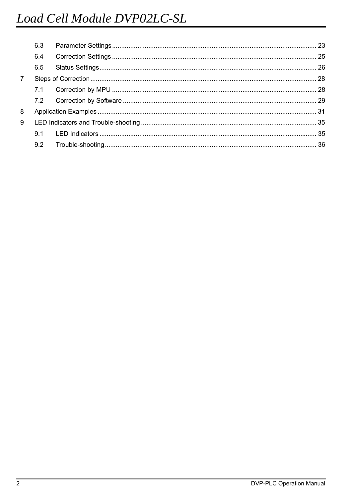|                | 6.3 |  |
|----------------|-----|--|
|                | 6.4 |  |
|                | 6.5 |  |
| $\overline{7}$ |     |  |
|                | 7.1 |  |
|                |     |  |
| 8              |     |  |
| 9              |     |  |
|                |     |  |
|                | 9.2 |  |
|                |     |  |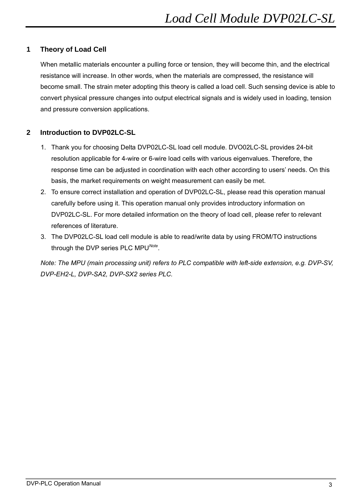# **1 Theory of Load Cell**

When metallic materials encounter a pulling force or tension, they will become thin, and the electrical resistance will increase. In other words, when the materials are compressed, the resistance will become small. The strain meter adopting this theory is called a load cell. Such sensing device is able to convert physical pressure changes into output electrical signals and is widely used in loading, tension and pressure conversion applications.

# **2 Introduction to DVP02LC-SL**

- 1. Thank you for choosing Delta DVP02LC-SL load cell module. DVO02LC-SL provides 24-bit resolution applicable for 4-wire or 6-wire load cells with various eigenvalues. Therefore, the response time can be adjusted in coordination with each other according to users' needs. On this basis, the market requirements on weight measurement can easily be met.
- 2. To ensure correct installation and operation of DVP02LC-SL, please read this operation manual carefully before using it. This operation manual only provides introductory information on DVP02LC-SL. For more detailed information on the theory of load cell, please refer to relevant references of literature.
- 3. The DVP02LC-SL load cell module is able to read/write data by using FROM/TO instructions through the DVP series PLC MPU*Note*.

*Note: The MPU (main processing unit) refers to PLC compatible with left-side extension, e.g. DVP-SV, DVP-EH2-L, DVP-SA2, DVP-SX2 series PLC.*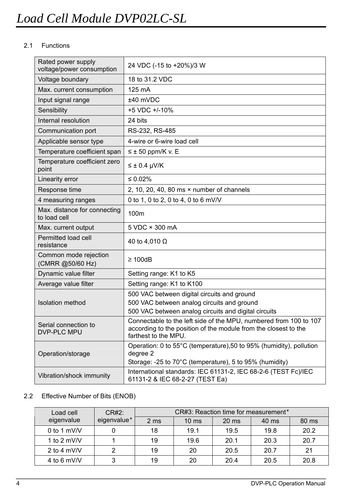# 2.1 Functions

| Rated power supply<br>voltage/power consumption | 24 VDC (-15 to +20%)/3 W                                                                                                                                     |  |  |  |  |
|-------------------------------------------------|--------------------------------------------------------------------------------------------------------------------------------------------------------------|--|--|--|--|
| Voltage boundary                                | 18 to 31.2 VDC                                                                                                                                               |  |  |  |  |
| Max. current consumption                        | 125 mA                                                                                                                                                       |  |  |  |  |
| Input signal range                              | ±40 mVDC                                                                                                                                                     |  |  |  |  |
| Sensibility                                     | +5 VDC +/-10%                                                                                                                                                |  |  |  |  |
| Internal resolution                             | 24 bits                                                                                                                                                      |  |  |  |  |
| Communication port                              | RS-232, RS-485                                                                                                                                               |  |  |  |  |
| Applicable sensor type                          | 4-wire or 6-wire load cell                                                                                                                                   |  |  |  |  |
| Temperature coefficient span                    | $\leq \pm 50$ ppm/K v. E                                                                                                                                     |  |  |  |  |
| Temperature coefficient zero<br>point           | $\leq \pm 0.4$ µV/K                                                                                                                                          |  |  |  |  |
| Linearity error                                 | $\leq 0.02\%$                                                                                                                                                |  |  |  |  |
| Response time                                   | 2, 10, 20, 40, 80 ms $\times$ number of channels                                                                                                             |  |  |  |  |
| 4 measuring ranges                              | 0 to 1, 0 to 2, 0 to 4, 0 to 6 mV/V                                                                                                                          |  |  |  |  |
| Max. distance for connecting<br>to load cell    | 100m                                                                                                                                                         |  |  |  |  |
| Max. current output                             | 5 VDC × 300 mA                                                                                                                                               |  |  |  |  |
| Permitted load cell<br>resistance               | 40 to 4,010 $\Omega$                                                                                                                                         |  |  |  |  |
| Common mode rejection<br>(CMRR @50/60 Hz)       | $\geq 100$ dB                                                                                                                                                |  |  |  |  |
| Dynamic value filter                            | Setting range: K1 to K5                                                                                                                                      |  |  |  |  |
| Average value filter                            | Setting range: K1 to K100                                                                                                                                    |  |  |  |  |
|                                                 | 500 VAC between digital circuits and ground                                                                                                                  |  |  |  |  |
| <b>Isolation method</b>                         | 500 VAC between analog circuits and ground                                                                                                                   |  |  |  |  |
|                                                 | 500 VAC between analog circuits and digital circuits                                                                                                         |  |  |  |  |
| Serial connection to<br><b>DVP-PLC MPU</b>      | Connectable to the left side of the MPU, numbered from 100 to 107<br>according to the position of the module from the closest to the<br>farthest to the MPU. |  |  |  |  |
| Operation/storage                               | Operation: 0 to 55°C (temperature), 50 to 95% (humidity), pollution<br>degree 2<br>Storage: -25 to 70°C (temperature), 5 to 95% (humidity)                   |  |  |  |  |
| Vibration/shock immunity                        | International standards: IEC 61131-2, IEC 68-2-6 (TEST Fc)/IEC<br>61131-2 & IEC 68-2-27 (TEST Ea)                                                            |  |  |  |  |

# 2.2 Effective Number of Bits (ENOB)

| Load cell     | CR#2:       | CR#3: Reaction time for measurement* |                 |         |       |       |  |  |  |  |
|---------------|-------------|--------------------------------------|-----------------|---------|-------|-------|--|--|--|--|
| eigenvalue    | eigenvalue* | 2 ms                                 | $10 \text{ ms}$ | $20$ ms | 40 ms | 80 ms |  |  |  |  |
| 0 to 1 $mV/V$ |             | 18                                   | 19.1            | 19.5    | 19.8  | 20.2  |  |  |  |  |
| 1 to 2 mV/V   |             | 19                                   | 19.6            | 20.1    | 20.3  | 20.7  |  |  |  |  |
| 2 to 4 mV/V   |             | 19                                   | 20              | 20.5    | 20.7  | 21    |  |  |  |  |
| 4 to 6 mV/V   | 3           | 19                                   | 20              | 20.4    | 20.5  | 20.8  |  |  |  |  |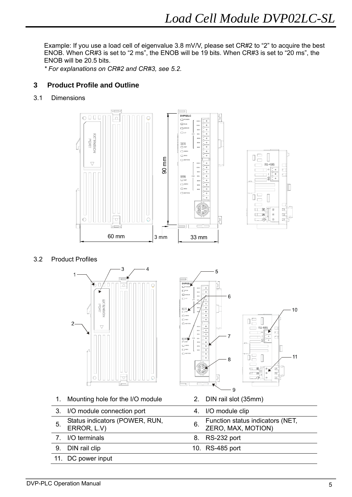Example: If you use a load cell of eigenvalue 3.8 mV/V, please set CR#2 to "2" to acquire the best ENOB. When CR#3 is set to "2 ms", the ENOB will be 19 bits. When CR#3 is set to "20 ms", the ENOB will be 20.5 bits.

*\* For explanations on CR#2 and CR#3, see 5.2.* 

# **3 Product Profile and Outline**

3.1 Dimensions





3.2 Product Profiles



1. Mounting hole for the I/O module 2. DIN rail slot (35mm)

- 3. I/O module connection port 4. I/O module clip
- 
- 
- 
- 11. DC power input



- 
- 5. Status indicators (POWER, RUN, 6. Function status indicators (NET, ERROR, L.V) ZERO, MAX, MOTION)
- 7. I/O terminals 8. RS-232 port
- 9. DIN rail clip 10. RS-485 port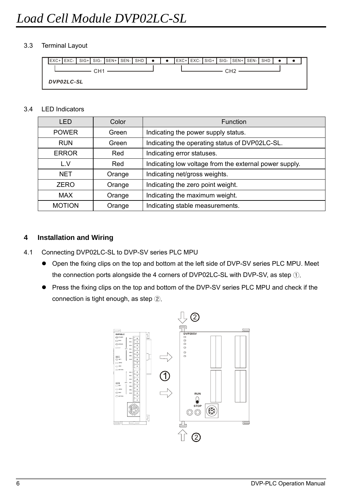### 3.3 Terminal Layout

|                 |  |  |  |  | $EXC+$ EXC- SIG+ SIG-SEN+SEN-SEN-SHD $\bullet$ |  |  |                                                                            |  | EXC+ EXC- SIG+ SIG- SEN+ SEN- SHD |  |  |  |  |  |  |  |  |
|-----------------|--|--|--|--|------------------------------------------------|--|--|----------------------------------------------------------------------------|--|-----------------------------------|--|--|--|--|--|--|--|--|
| $CHT - CHT - C$ |  |  |  |  |                                                |  |  | $-$ CH <sub>2</sub> $-$<br>the contract of the contract of the contract of |  |                                   |  |  |  |  |  |  |  |  |
| DVP02LC-SL      |  |  |  |  |                                                |  |  |                                                                            |  |                                   |  |  |  |  |  |  |  |  |

### 3.4 LED Indicators

| <b>LED</b>              | Color | Function                                               |  |  |  |
|-------------------------|-------|--------------------------------------------------------|--|--|--|
| <b>POWER</b>            | Green | Indicating the power supply status.                    |  |  |  |
| <b>RUN</b>              | Green | Indicating the operating status of DVP02LC-SL.         |  |  |  |
| <b>ERROR</b>            | Red   | Indicating error statuses.                             |  |  |  |
| L.V<br>Red              |       | Indicating low voltage from the external power supply. |  |  |  |
| <b>NFT</b><br>Orange    |       | Indicating net/gross weights.                          |  |  |  |
| <b>ZERO</b><br>Orange   |       | Indicating the zero point weight.                      |  |  |  |
| <b>MAX</b><br>Orange    |       | Indicating the maximum weight.                         |  |  |  |
| <b>MOTION</b><br>Orange |       | Indicating stable measurements.                        |  |  |  |

# **4 Installation and Wiring**

- 4.1 Connecting DVP02LC-SL to DVP-SV series PLC MPU
	- Open the fixing clips on the top and bottom at the left side of DVP-SV series PLC MPU. Meet the connection ports alongside the 4 corners of DVP02LC-SL with DVP-SV, as step ①.
	- Press the fixing clips on the top and bottom of the DVP-SV series PLC MPU and check if the connection is tight enough, as step ②.

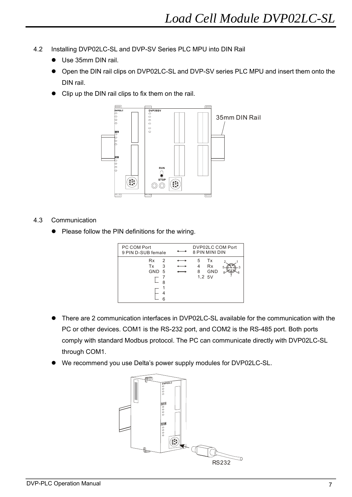- 4.2 Installing DVP02LC-SL and DVP-SV Series PLC MPU into DIN Rail
	- **•** Use 35mm DIN rail.
	- Open the DIN rail clips on DVP02LC-SL and DVP-SV series PLC MPU and insert them onto the DIN rail.
	- Clip up the DIN rail clips to fix them on the rail.



### 4.3 Communication

• Please follow the PIN definitions for the wiring.

| PC COM Port<br>9 PIN D-SUB female |                    | DVP02LC COM Port<br>8 PIN MINI DIN                |
|-----------------------------------|--------------------|---------------------------------------------------|
|                                   |                    |                                                   |
| <b>Rx</b><br>Tx<br><b>GND</b>     | 2<br>3<br>- 5<br>8 | Tx<br>5<br><b>Rx</b><br><b>GND</b><br>8<br>1,2.5V |

- There are 2 communication interfaces in DVP02LC-SL available for the communication with the PC or other devices. COM1 is the RS-232 port, and COM2 is the RS-485 port. Both ports comply with standard Modbus protocol. The PC can communicate directly with DVP02LC-SL through COM1.
- We recommend you use Delta's power supply modules for DVP02LC-SL.

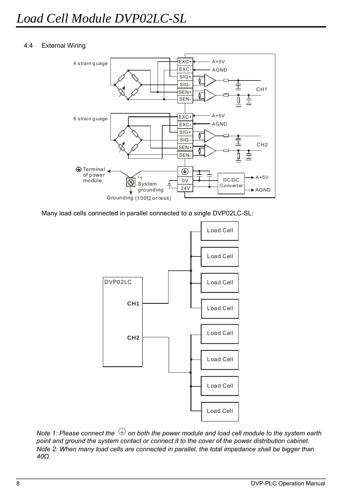### 4.4 External Wiring



Many load cells connected in parallel connected to a single DVP02LC-SL:



*Note 1: Please connect the*  $\bigcirc$  *on both the power module and load cell module to the system earth point and ground the system contact or connect it to the cover of the power distribution cabinet. Note 2: When many load cells are connected in parallel, the total impedance shall be bigger than 40Ω.*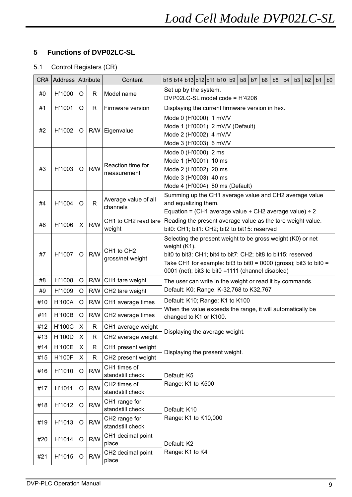# **5 Functions of DVP02LC-SL**

# 5.1 Control Registers (CR)

| Set up by the system.<br>#0<br>H'1000<br>R<br>Model name<br>O<br>DVP02LC-SL model code = H'4206<br>#1<br>H'1001<br>O<br>R<br>Firmware version<br>Displaying the current firmware version in hex.<br>Mode 0 (H'0000): 1 mV/V<br>Mode 1 (H'0001): 2 mV/V (Default)<br>#2<br>H'1002<br>O<br>R/W<br>Eigenvalue<br>Mode 2 (H'0002): 4 mV/V<br>Mode 3 (H'0003): 6 mV/V<br>Mode 0 (H'0000): 2 ms<br>Mode 1 (H'0001): 10 ms<br>Reaction time for<br>R/W<br>H'1003<br>#3<br>O<br>Mode 2 (H'0002): 20 ms<br>measurement<br>Mode 3 (H'0003): 40 ms<br>Mode 4 (H'0004): 80 ms (Default)<br>Summing up the CH1 average value and CH2 average value<br>Average value of all<br>#4<br>$\mathsf{R}$<br>and equalizing them.<br>H'1004<br>O<br>channels<br>Equation = (CH1 average value + CH2 average value) $\div$ 2<br>Reading the present average value as the tare weight value.<br>CH1 to CH2 read tare<br>R/W<br>#6<br>H'1006<br>X<br>bit0: CH1; bit1: CH2; bit2 to bit15: reserved<br>weight<br>Selecting the present weight to be gross weight (K0) or net<br>weight (K1).<br>CH1 to CH2<br>R/W<br>H'1007<br>#7<br>O<br>bit0 to bit3: CH1; bit4 to bit7: CH2; bit8 to bit15: reserved<br>gross/net weight<br>Take CH1 for example: bit3 to bit0 = 0000 (gross); bit3 to bit0 =<br>0001 (net); bit3 to bit0 =1111 (channel disabled)<br>H'1008<br>#8<br>O<br>R/W<br>CH1 tare weight<br>The user can write in the weight or read it by commands.<br>Default: K0; Range: K-32,768 to K32,767<br>H'1009<br>R/W<br>CH2 tare weight<br>#9<br>O<br>Default: K10; Range: K1 to K100<br>H'100A<br>#10<br>O<br>R/W<br>CH1 average times<br>When the value exceeds the range, it will automatically be<br>#11<br><b>H'100B</b><br>R/W<br>O<br>CH2 average times<br>changed to K1 or K100.<br><b>H'100C</b><br>#12<br>X<br>R<br>CH1 average weight<br>Displaying the average weight.<br>X<br>H'100D<br>$\mathsf{R}$<br>CH2 average weight<br>#13<br><b>H'100E</b><br>#14<br>X<br>CH1 present weight<br>R<br>Displaying the present weight.<br>#15<br><b>H'100F</b><br>X<br>CH2 present weight<br>R<br>CH1 times of<br>R/W<br>#16<br>H'1010<br>O<br>standstill check<br>Default: K5<br>Range: K1 to K500<br>CH2 times of<br>R/W<br>#17<br>H'1011<br>O<br>standstill check<br>CH1 range for<br>R/W<br>#18<br>H'1012<br>O<br>standstill check<br>Default: K10<br>Range: K1 to K10,000<br>CH2 range for<br>R/W<br>#19<br>H'1013<br>O<br>standstill check<br>CH1 decimal point<br>R/W<br>#20<br>H'1014<br>O<br>place<br>Default: K2<br>Range: K1 to K4<br>CH2 decimal point<br>R/W<br>#21<br>H'1015<br>O | CR# | Address Attribute |  | Content | b15b14b13b12b11b10b9<br>b <sub>8</sub><br>b5<br>b2<br>b <sub>0</sub><br>b7<br>b <sub>6</sub><br>b4<br>b <sub>3</sub><br>b <sub>1</sub> |  |  |  |  |  |  |  |  |  |
|---------------------------------------------------------------------------------------------------------------------------------------------------------------------------------------------------------------------------------------------------------------------------------------------------------------------------------------------------------------------------------------------------------------------------------------------------------------------------------------------------------------------------------------------------------------------------------------------------------------------------------------------------------------------------------------------------------------------------------------------------------------------------------------------------------------------------------------------------------------------------------------------------------------------------------------------------------------------------------------------------------------------------------------------------------------------------------------------------------------------------------------------------------------------------------------------------------------------------------------------------------------------------------------------------------------------------------------------------------------------------------------------------------------------------------------------------------------------------------------------------------------------------------------------------------------------------------------------------------------------------------------------------------------------------------------------------------------------------------------------------------------------------------------------------------------------------------------------------------------------------------------------------------------------------------------------------------------------------------------------------------------------------------------------------------------------------------------------------------------------------------------------------------------------------------------------------------------------------------------------------------------------------------------------------------------------------------------------------------------------------------------------------------------------------------------------------------------------------------------------------------------------------------------------------------------------------------|-----|-------------------|--|---------|----------------------------------------------------------------------------------------------------------------------------------------|--|--|--|--|--|--|--|--|--|
|                                                                                                                                                                                                                                                                                                                                                                                                                                                                                                                                                                                                                                                                                                                                                                                                                                                                                                                                                                                                                                                                                                                                                                                                                                                                                                                                                                                                                                                                                                                                                                                                                                                                                                                                                                                                                                                                                                                                                                                                                                                                                                                                                                                                                                                                                                                                                                                                                                                                                                                                                                                 |     |                   |  |         |                                                                                                                                        |  |  |  |  |  |  |  |  |  |
|                                                                                                                                                                                                                                                                                                                                                                                                                                                                                                                                                                                                                                                                                                                                                                                                                                                                                                                                                                                                                                                                                                                                                                                                                                                                                                                                                                                                                                                                                                                                                                                                                                                                                                                                                                                                                                                                                                                                                                                                                                                                                                                                                                                                                                                                                                                                                                                                                                                                                                                                                                                 |     |                   |  |         |                                                                                                                                        |  |  |  |  |  |  |  |  |  |
|                                                                                                                                                                                                                                                                                                                                                                                                                                                                                                                                                                                                                                                                                                                                                                                                                                                                                                                                                                                                                                                                                                                                                                                                                                                                                                                                                                                                                                                                                                                                                                                                                                                                                                                                                                                                                                                                                                                                                                                                                                                                                                                                                                                                                                                                                                                                                                                                                                                                                                                                                                                 |     |                   |  |         |                                                                                                                                        |  |  |  |  |  |  |  |  |  |
|                                                                                                                                                                                                                                                                                                                                                                                                                                                                                                                                                                                                                                                                                                                                                                                                                                                                                                                                                                                                                                                                                                                                                                                                                                                                                                                                                                                                                                                                                                                                                                                                                                                                                                                                                                                                                                                                                                                                                                                                                                                                                                                                                                                                                                                                                                                                                                                                                                                                                                                                                                                 |     |                   |  |         |                                                                                                                                        |  |  |  |  |  |  |  |  |  |
|                                                                                                                                                                                                                                                                                                                                                                                                                                                                                                                                                                                                                                                                                                                                                                                                                                                                                                                                                                                                                                                                                                                                                                                                                                                                                                                                                                                                                                                                                                                                                                                                                                                                                                                                                                                                                                                                                                                                                                                                                                                                                                                                                                                                                                                                                                                                                                                                                                                                                                                                                                                 |     |                   |  |         |                                                                                                                                        |  |  |  |  |  |  |  |  |  |
|                                                                                                                                                                                                                                                                                                                                                                                                                                                                                                                                                                                                                                                                                                                                                                                                                                                                                                                                                                                                                                                                                                                                                                                                                                                                                                                                                                                                                                                                                                                                                                                                                                                                                                                                                                                                                                                                                                                                                                                                                                                                                                                                                                                                                                                                                                                                                                                                                                                                                                                                                                                 |     |                   |  |         |                                                                                                                                        |  |  |  |  |  |  |  |  |  |
|                                                                                                                                                                                                                                                                                                                                                                                                                                                                                                                                                                                                                                                                                                                                                                                                                                                                                                                                                                                                                                                                                                                                                                                                                                                                                                                                                                                                                                                                                                                                                                                                                                                                                                                                                                                                                                                                                                                                                                                                                                                                                                                                                                                                                                                                                                                                                                                                                                                                                                                                                                                 |     |                   |  |         |                                                                                                                                        |  |  |  |  |  |  |  |  |  |
|                                                                                                                                                                                                                                                                                                                                                                                                                                                                                                                                                                                                                                                                                                                                                                                                                                                                                                                                                                                                                                                                                                                                                                                                                                                                                                                                                                                                                                                                                                                                                                                                                                                                                                                                                                                                                                                                                                                                                                                                                                                                                                                                                                                                                                                                                                                                                                                                                                                                                                                                                                                 |     |                   |  |         |                                                                                                                                        |  |  |  |  |  |  |  |  |  |
|                                                                                                                                                                                                                                                                                                                                                                                                                                                                                                                                                                                                                                                                                                                                                                                                                                                                                                                                                                                                                                                                                                                                                                                                                                                                                                                                                                                                                                                                                                                                                                                                                                                                                                                                                                                                                                                                                                                                                                                                                                                                                                                                                                                                                                                                                                                                                                                                                                                                                                                                                                                 |     |                   |  |         |                                                                                                                                        |  |  |  |  |  |  |  |  |  |
|                                                                                                                                                                                                                                                                                                                                                                                                                                                                                                                                                                                                                                                                                                                                                                                                                                                                                                                                                                                                                                                                                                                                                                                                                                                                                                                                                                                                                                                                                                                                                                                                                                                                                                                                                                                                                                                                                                                                                                                                                                                                                                                                                                                                                                                                                                                                                                                                                                                                                                                                                                                 |     |                   |  |         |                                                                                                                                        |  |  |  |  |  |  |  |  |  |
|                                                                                                                                                                                                                                                                                                                                                                                                                                                                                                                                                                                                                                                                                                                                                                                                                                                                                                                                                                                                                                                                                                                                                                                                                                                                                                                                                                                                                                                                                                                                                                                                                                                                                                                                                                                                                                                                                                                                                                                                                                                                                                                                                                                                                                                                                                                                                                                                                                                                                                                                                                                 |     |                   |  |         |                                                                                                                                        |  |  |  |  |  |  |  |  |  |
|                                                                                                                                                                                                                                                                                                                                                                                                                                                                                                                                                                                                                                                                                                                                                                                                                                                                                                                                                                                                                                                                                                                                                                                                                                                                                                                                                                                                                                                                                                                                                                                                                                                                                                                                                                                                                                                                                                                                                                                                                                                                                                                                                                                                                                                                                                                                                                                                                                                                                                                                                                                 |     |                   |  |         |                                                                                                                                        |  |  |  |  |  |  |  |  |  |
|                                                                                                                                                                                                                                                                                                                                                                                                                                                                                                                                                                                                                                                                                                                                                                                                                                                                                                                                                                                                                                                                                                                                                                                                                                                                                                                                                                                                                                                                                                                                                                                                                                                                                                                                                                                                                                                                                                                                                                                                                                                                                                                                                                                                                                                                                                                                                                                                                                                                                                                                                                                 |     |                   |  |         |                                                                                                                                        |  |  |  |  |  |  |  |  |  |
|                                                                                                                                                                                                                                                                                                                                                                                                                                                                                                                                                                                                                                                                                                                                                                                                                                                                                                                                                                                                                                                                                                                                                                                                                                                                                                                                                                                                                                                                                                                                                                                                                                                                                                                                                                                                                                                                                                                                                                                                                                                                                                                                                                                                                                                                                                                                                                                                                                                                                                                                                                                 |     |                   |  |         |                                                                                                                                        |  |  |  |  |  |  |  |  |  |
|                                                                                                                                                                                                                                                                                                                                                                                                                                                                                                                                                                                                                                                                                                                                                                                                                                                                                                                                                                                                                                                                                                                                                                                                                                                                                                                                                                                                                                                                                                                                                                                                                                                                                                                                                                                                                                                                                                                                                                                                                                                                                                                                                                                                                                                                                                                                                                                                                                                                                                                                                                                 |     |                   |  |         |                                                                                                                                        |  |  |  |  |  |  |  |  |  |
|                                                                                                                                                                                                                                                                                                                                                                                                                                                                                                                                                                                                                                                                                                                                                                                                                                                                                                                                                                                                                                                                                                                                                                                                                                                                                                                                                                                                                                                                                                                                                                                                                                                                                                                                                                                                                                                                                                                                                                                                                                                                                                                                                                                                                                                                                                                                                                                                                                                                                                                                                                                 |     |                   |  |         |                                                                                                                                        |  |  |  |  |  |  |  |  |  |
|                                                                                                                                                                                                                                                                                                                                                                                                                                                                                                                                                                                                                                                                                                                                                                                                                                                                                                                                                                                                                                                                                                                                                                                                                                                                                                                                                                                                                                                                                                                                                                                                                                                                                                                                                                                                                                                                                                                                                                                                                                                                                                                                                                                                                                                                                                                                                                                                                                                                                                                                                                                 |     |                   |  |         |                                                                                                                                        |  |  |  |  |  |  |  |  |  |
|                                                                                                                                                                                                                                                                                                                                                                                                                                                                                                                                                                                                                                                                                                                                                                                                                                                                                                                                                                                                                                                                                                                                                                                                                                                                                                                                                                                                                                                                                                                                                                                                                                                                                                                                                                                                                                                                                                                                                                                                                                                                                                                                                                                                                                                                                                                                                                                                                                                                                                                                                                                 |     |                   |  |         |                                                                                                                                        |  |  |  |  |  |  |  |  |  |
|                                                                                                                                                                                                                                                                                                                                                                                                                                                                                                                                                                                                                                                                                                                                                                                                                                                                                                                                                                                                                                                                                                                                                                                                                                                                                                                                                                                                                                                                                                                                                                                                                                                                                                                                                                                                                                                                                                                                                                                                                                                                                                                                                                                                                                                                                                                                                                                                                                                                                                                                                                                 |     |                   |  |         |                                                                                                                                        |  |  |  |  |  |  |  |  |  |
|                                                                                                                                                                                                                                                                                                                                                                                                                                                                                                                                                                                                                                                                                                                                                                                                                                                                                                                                                                                                                                                                                                                                                                                                                                                                                                                                                                                                                                                                                                                                                                                                                                                                                                                                                                                                                                                                                                                                                                                                                                                                                                                                                                                                                                                                                                                                                                                                                                                                                                                                                                                 |     |                   |  |         |                                                                                                                                        |  |  |  |  |  |  |  |  |  |
|                                                                                                                                                                                                                                                                                                                                                                                                                                                                                                                                                                                                                                                                                                                                                                                                                                                                                                                                                                                                                                                                                                                                                                                                                                                                                                                                                                                                                                                                                                                                                                                                                                                                                                                                                                                                                                                                                                                                                                                                                                                                                                                                                                                                                                                                                                                                                                                                                                                                                                                                                                                 |     |                   |  |         |                                                                                                                                        |  |  |  |  |  |  |  |  |  |
|                                                                                                                                                                                                                                                                                                                                                                                                                                                                                                                                                                                                                                                                                                                                                                                                                                                                                                                                                                                                                                                                                                                                                                                                                                                                                                                                                                                                                                                                                                                                                                                                                                                                                                                                                                                                                                                                                                                                                                                                                                                                                                                                                                                                                                                                                                                                                                                                                                                                                                                                                                                 |     |                   |  |         |                                                                                                                                        |  |  |  |  |  |  |  |  |  |
|                                                                                                                                                                                                                                                                                                                                                                                                                                                                                                                                                                                                                                                                                                                                                                                                                                                                                                                                                                                                                                                                                                                                                                                                                                                                                                                                                                                                                                                                                                                                                                                                                                                                                                                                                                                                                                                                                                                                                                                                                                                                                                                                                                                                                                                                                                                                                                                                                                                                                                                                                                                 |     |                   |  |         |                                                                                                                                        |  |  |  |  |  |  |  |  |  |
|                                                                                                                                                                                                                                                                                                                                                                                                                                                                                                                                                                                                                                                                                                                                                                                                                                                                                                                                                                                                                                                                                                                                                                                                                                                                                                                                                                                                                                                                                                                                                                                                                                                                                                                                                                                                                                                                                                                                                                                                                                                                                                                                                                                                                                                                                                                                                                                                                                                                                                                                                                                 |     |                   |  |         |                                                                                                                                        |  |  |  |  |  |  |  |  |  |
|                                                                                                                                                                                                                                                                                                                                                                                                                                                                                                                                                                                                                                                                                                                                                                                                                                                                                                                                                                                                                                                                                                                                                                                                                                                                                                                                                                                                                                                                                                                                                                                                                                                                                                                                                                                                                                                                                                                                                                                                                                                                                                                                                                                                                                                                                                                                                                                                                                                                                                                                                                                 |     |                   |  |         |                                                                                                                                        |  |  |  |  |  |  |  |  |  |
|                                                                                                                                                                                                                                                                                                                                                                                                                                                                                                                                                                                                                                                                                                                                                                                                                                                                                                                                                                                                                                                                                                                                                                                                                                                                                                                                                                                                                                                                                                                                                                                                                                                                                                                                                                                                                                                                                                                                                                                                                                                                                                                                                                                                                                                                                                                                                                                                                                                                                                                                                                                 |     |                   |  |         |                                                                                                                                        |  |  |  |  |  |  |  |  |  |
|                                                                                                                                                                                                                                                                                                                                                                                                                                                                                                                                                                                                                                                                                                                                                                                                                                                                                                                                                                                                                                                                                                                                                                                                                                                                                                                                                                                                                                                                                                                                                                                                                                                                                                                                                                                                                                                                                                                                                                                                                                                                                                                                                                                                                                                                                                                                                                                                                                                                                                                                                                                 |     |                   |  |         |                                                                                                                                        |  |  |  |  |  |  |  |  |  |
|                                                                                                                                                                                                                                                                                                                                                                                                                                                                                                                                                                                                                                                                                                                                                                                                                                                                                                                                                                                                                                                                                                                                                                                                                                                                                                                                                                                                                                                                                                                                                                                                                                                                                                                                                                                                                                                                                                                                                                                                                                                                                                                                                                                                                                                                                                                                                                                                                                                                                                                                                                                 |     |                   |  |         |                                                                                                                                        |  |  |  |  |  |  |  |  |  |
|                                                                                                                                                                                                                                                                                                                                                                                                                                                                                                                                                                                                                                                                                                                                                                                                                                                                                                                                                                                                                                                                                                                                                                                                                                                                                                                                                                                                                                                                                                                                                                                                                                                                                                                                                                                                                                                                                                                                                                                                                                                                                                                                                                                                                                                                                                                                                                                                                                                                                                                                                                                 |     |                   |  |         |                                                                                                                                        |  |  |  |  |  |  |  |  |  |
|                                                                                                                                                                                                                                                                                                                                                                                                                                                                                                                                                                                                                                                                                                                                                                                                                                                                                                                                                                                                                                                                                                                                                                                                                                                                                                                                                                                                                                                                                                                                                                                                                                                                                                                                                                                                                                                                                                                                                                                                                                                                                                                                                                                                                                                                                                                                                                                                                                                                                                                                                                                 |     |                   |  |         |                                                                                                                                        |  |  |  |  |  |  |  |  |  |
|                                                                                                                                                                                                                                                                                                                                                                                                                                                                                                                                                                                                                                                                                                                                                                                                                                                                                                                                                                                                                                                                                                                                                                                                                                                                                                                                                                                                                                                                                                                                                                                                                                                                                                                                                                                                                                                                                                                                                                                                                                                                                                                                                                                                                                                                                                                                                                                                                                                                                                                                                                                 |     |                   |  |         |                                                                                                                                        |  |  |  |  |  |  |  |  |  |
|                                                                                                                                                                                                                                                                                                                                                                                                                                                                                                                                                                                                                                                                                                                                                                                                                                                                                                                                                                                                                                                                                                                                                                                                                                                                                                                                                                                                                                                                                                                                                                                                                                                                                                                                                                                                                                                                                                                                                                                                                                                                                                                                                                                                                                                                                                                                                                                                                                                                                                                                                                                 |     |                   |  |         |                                                                                                                                        |  |  |  |  |  |  |  |  |  |
|                                                                                                                                                                                                                                                                                                                                                                                                                                                                                                                                                                                                                                                                                                                                                                                                                                                                                                                                                                                                                                                                                                                                                                                                                                                                                                                                                                                                                                                                                                                                                                                                                                                                                                                                                                                                                                                                                                                                                                                                                                                                                                                                                                                                                                                                                                                                                                                                                                                                                                                                                                                 |     |                   |  |         |                                                                                                                                        |  |  |  |  |  |  |  |  |  |
|                                                                                                                                                                                                                                                                                                                                                                                                                                                                                                                                                                                                                                                                                                                                                                                                                                                                                                                                                                                                                                                                                                                                                                                                                                                                                                                                                                                                                                                                                                                                                                                                                                                                                                                                                                                                                                                                                                                                                                                                                                                                                                                                                                                                                                                                                                                                                                                                                                                                                                                                                                                 |     |                   |  |         |                                                                                                                                        |  |  |  |  |  |  |  |  |  |
|                                                                                                                                                                                                                                                                                                                                                                                                                                                                                                                                                                                                                                                                                                                                                                                                                                                                                                                                                                                                                                                                                                                                                                                                                                                                                                                                                                                                                                                                                                                                                                                                                                                                                                                                                                                                                                                                                                                                                                                                                                                                                                                                                                                                                                                                                                                                                                                                                                                                                                                                                                                 |     |                   |  |         |                                                                                                                                        |  |  |  |  |  |  |  |  |  |
|                                                                                                                                                                                                                                                                                                                                                                                                                                                                                                                                                                                                                                                                                                                                                                                                                                                                                                                                                                                                                                                                                                                                                                                                                                                                                                                                                                                                                                                                                                                                                                                                                                                                                                                                                                                                                                                                                                                                                                                                                                                                                                                                                                                                                                                                                                                                                                                                                                                                                                                                                                                 |     |                   |  |         |                                                                                                                                        |  |  |  |  |  |  |  |  |  |
|                                                                                                                                                                                                                                                                                                                                                                                                                                                                                                                                                                                                                                                                                                                                                                                                                                                                                                                                                                                                                                                                                                                                                                                                                                                                                                                                                                                                                                                                                                                                                                                                                                                                                                                                                                                                                                                                                                                                                                                                                                                                                                                                                                                                                                                                                                                                                                                                                                                                                                                                                                                 |     |                   |  |         |                                                                                                                                        |  |  |  |  |  |  |  |  |  |
|                                                                                                                                                                                                                                                                                                                                                                                                                                                                                                                                                                                                                                                                                                                                                                                                                                                                                                                                                                                                                                                                                                                                                                                                                                                                                                                                                                                                                                                                                                                                                                                                                                                                                                                                                                                                                                                                                                                                                                                                                                                                                                                                                                                                                                                                                                                                                                                                                                                                                                                                                                                 |     |                   |  | place   |                                                                                                                                        |  |  |  |  |  |  |  |  |  |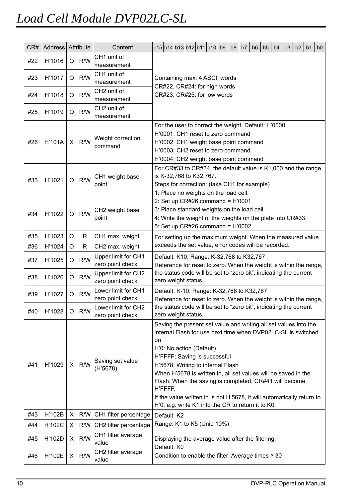| CR# | Address Attribute |         |                                                                       | Content                      |                                                                                                                                                                                                                                                                                                                                                                      | b15b14b13b12b11b10b9                                                                  |  |  |  |  | b <sub>8</sub> | b7 | b <sub>6</sub> | b5 | b <sub>4</sub> | b <sub>3</sub> | b2 | b <sub>1</sub> | b <sub>0</sub> |
|-----|-------------------|---------|-----------------------------------------------------------------------|------------------------------|----------------------------------------------------------------------------------------------------------------------------------------------------------------------------------------------------------------------------------------------------------------------------------------------------------------------------------------------------------------------|---------------------------------------------------------------------------------------|--|--|--|--|----------------|----|----------------|----|----------------|----------------|----|----------------|----------------|
| #22 | H'1016            | O       | R/W                                                                   | CH1 unit of                  |                                                                                                                                                                                                                                                                                                                                                                      |                                                                                       |  |  |  |  |                |    |                |    |                |                |    |                |                |
|     |                   |         |                                                                       | measurement                  |                                                                                                                                                                                                                                                                                                                                                                      |                                                                                       |  |  |  |  |                |    |                |    |                |                |    |                |                |
| #23 | H'1017            | O       | R/W                                                                   | CH1 unit of<br>measurement   | Containing max. 4 ASCII words.<br>CR#22, CR#24: for high words<br>CR#23, CR#25: for low words                                                                                                                                                                                                                                                                        |                                                                                       |  |  |  |  |                |    |                |    |                |                |    |                |                |
|     |                   |         |                                                                       | CH <sub>2</sub> unit of      |                                                                                                                                                                                                                                                                                                                                                                      |                                                                                       |  |  |  |  |                |    |                |    |                |                |    |                |                |
| #24 | H'1018            | $\circ$ | R/W                                                                   | measurement                  |                                                                                                                                                                                                                                                                                                                                                                      |                                                                                       |  |  |  |  |                |    |                |    |                |                |    |                |                |
|     |                   |         |                                                                       | CH <sub>2</sub> unit of      |                                                                                                                                                                                                                                                                                                                                                                      |                                                                                       |  |  |  |  |                |    |                |    |                |                |    |                |                |
| #25 | H'1019            | O       | R/W                                                                   | measurement                  |                                                                                                                                                                                                                                                                                                                                                                      |                                                                                       |  |  |  |  |                |    |                |    |                |                |    |                |                |
| #26 | <b>H'101A</b>     | X.      | R/W                                                                   | Weight correction<br>command | For the user to correct the weight. Default: H'0000<br>H'0001: CH1 reset to zero command<br>H'0002: CH1 weight base point command<br>H'0003: CH2 reset to zero command<br>H'0004: CH2 weight base point command                                                                                                                                                      |                                                                                       |  |  |  |  |                |    |                |    |                |                |    |                |                |
|     |                   |         |                                                                       |                              |                                                                                                                                                                                                                                                                                                                                                                      | For CR#33 to CR#34, the default value is K1,000 and the range                         |  |  |  |  |                |    |                |    |                |                |    |                |                |
| #33 | H'1021            | O       | R/W                                                                   | CH1 weight base              |                                                                                                                                                                                                                                                                                                                                                                      | is K-32,768 to K32,767.                                                               |  |  |  |  |                |    |                |    |                |                |    |                |                |
|     |                   |         |                                                                       | point                        |                                                                                                                                                                                                                                                                                                                                                                      | Steps for correction: (take CH1 for example)<br>1: Place no weights on the load cell. |  |  |  |  |                |    |                |    |                |                |    |                |                |
|     |                   |         |                                                                       |                              |                                                                                                                                                                                                                                                                                                                                                                      | 2: Set up CR#26 command = $H'0001$ .                                                  |  |  |  |  |                |    |                |    |                |                |    |                |                |
|     |                   |         |                                                                       | CH2 weight base              |                                                                                                                                                                                                                                                                                                                                                                      | 3: Place standard weights on the load cell.                                           |  |  |  |  |                |    |                |    |                |                |    |                |                |
| #34 | H'1022            | $\circ$ | R/W                                                                   | point                        |                                                                                                                                                                                                                                                                                                                                                                      | 4: Write the weight of the weights on the plate into CR#33.                           |  |  |  |  |                |    |                |    |                |                |    |                |                |
|     |                   |         |                                                                       |                              | 5: Set up $CR#26$ command = $H'0002$ .                                                                                                                                                                                                                                                                                                                               |                                                                                       |  |  |  |  |                |    |                |    |                |                |    |                |                |
| #35 | H'1023            | O       | R                                                                     | CH1 max. weight              | For setting up the maximum weight. When the measured value<br>exceeds the set value, error codes will be recorded.                                                                                                                                                                                                                                                   |                                                                                       |  |  |  |  |                |    |                |    |                |                |    |                |                |
| #36 | H'1024            | O       | $\mathsf{R}$                                                          | CH2 max. weight              |                                                                                                                                                                                                                                                                                                                                                                      |                                                                                       |  |  |  |  |                |    |                |    |                |                |    |                |                |
| #37 | H'1025            | O       | R/W                                                                   | Upper limit for CH1          |                                                                                                                                                                                                                                                                                                                                                                      | Default: K10; Range: K-32,768 to K32,767                                              |  |  |  |  |                |    |                |    |                |                |    |                |                |
|     |                   |         |                                                                       | zero point check             | Reference for reset to zero. When the weight is within the range,<br>the status code will be set to "zero bit", indicating the current                                                                                                                                                                                                                               |                                                                                       |  |  |  |  |                |    |                |    |                |                |    |                |                |
| #38 | H'1026            | O       | Upper limit for CH2<br>R/W<br>zero weight status.<br>zero point check |                              |                                                                                                                                                                                                                                                                                                                                                                      |                                                                                       |  |  |  |  |                |    |                |    |                |                |    |                |                |
|     |                   |         |                                                                       | Lower limit for CH1          |                                                                                                                                                                                                                                                                                                                                                                      | Default: K-10; Range: K-32,768 to K32,767                                             |  |  |  |  |                |    |                |    |                |                |    |                |                |
| #39 | H'1027            | O       | R/W                                                                   | zero point check             |                                                                                                                                                                                                                                                                                                                                                                      | Reference for reset to zero. When the weight is within the range,                     |  |  |  |  |                |    |                |    |                |                |    |                |                |
| #40 | H'1028            | $\circ$ | R/W                                                                   | Lower limit for CH2          |                                                                                                                                                                                                                                                                                                                                                                      | the status code will be set to "zero bit", indicating the current                     |  |  |  |  |                |    |                |    |                |                |    |                |                |
|     |                   |         |                                                                       | zero point check             |                                                                                                                                                                                                                                                                                                                                                                      | zero weight status.                                                                   |  |  |  |  |                |    |                |    |                |                |    |                |                |
| #41 | H'1029            | X       | R/W                                                                   | Saving set value<br>(H'5678) | Saving the present set value and writing all set values into the<br>internal Flash for use next time when DVP02LC-SL is switched<br>on.<br>H'0: No action (Default)<br>H'FFFF: Saving is successful<br>H'5678: Writing to internal Flash<br>When H'5678 is written in, all set values will be saved in the<br>Flash. When the saving is completed, CR#41 will become |                                                                                       |  |  |  |  |                |    |                |    |                |                |    |                |                |
|     |                   |         |                                                                       |                              | H'FFFF.                                                                                                                                                                                                                                                                                                                                                              | If the value written in is not H'5678, it will automatically return to                |  |  |  |  |                |    |                |    |                |                |    |                |                |
|     |                   |         |                                                                       |                              |                                                                                                                                                                                                                                                                                                                                                                      | H'0, e.g. write K1 into the CR to return it to K0.                                    |  |  |  |  |                |    |                |    |                |                |    |                |                |
| #43 | H'102B            | X       | R/W                                                                   | CH1 filter percentage        |                                                                                                                                                                                                                                                                                                                                                                      | Default: K2                                                                           |  |  |  |  |                |    |                |    |                |                |    |                |                |
| #44 | H'102C            | X       | R/W                                                                   | CH2 filter percentage        |                                                                                                                                                                                                                                                                                                                                                                      | Range: K1 to K5 (Unit: 10%)                                                           |  |  |  |  |                |    |                |    |                |                |    |                |                |
| #45 | H'102D            | X       | R/W                                                                   | CH1 filter average<br>value  |                                                                                                                                                                                                                                                                                                                                                                      | Displaying the average value after the filtering.                                     |  |  |  |  |                |    |                |    |                |                |    |                |                |
| #46 | H'102E            | X       | R/W                                                                   | CH2 filter average<br>value  | Default: K0<br>Condition to enable the filter: Average times $\geq 30$                                                                                                                                                                                                                                                                                               |                                                                                       |  |  |  |  |                |    |                |    |                |                |    |                |                |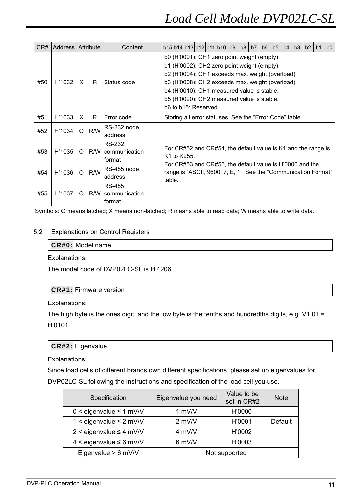| CR# | Address   Attribute |          |     | Content                                  | b15b14b13b12b11b10b9<br>b8<br>b5<br>b3<br>b2<br>b <sub>0</sub><br>b7<br>b <sub>6</sub><br>b <sub>4</sub><br>b <sub>1</sub>                                                                                                                                                                                        |  |  |  |  |  |  |  |
|-----|---------------------|----------|-----|------------------------------------------|-------------------------------------------------------------------------------------------------------------------------------------------------------------------------------------------------------------------------------------------------------------------------------------------------------------------|--|--|--|--|--|--|--|
| #50 | H'1032              | X        | R   | Status code                              | b0 (H'0001): CH1 zero point weight (empty)<br>b1 (H'0002): CH2 zero point weight (empty)<br>b2 (H'0004): CH1 exceeds max. weight (overload)<br>b3 (H'0008): CH2 exceeds max. weight (overload)<br>b4 (H'0010): CH1 measured value is stable.<br>b5 (H'0020): CH2 measured value is stable.<br>b6 to b15: Reserved |  |  |  |  |  |  |  |
| #51 | H'1033              | X        | R   | Error code                               | Storing all error statuses. See the "Error Code" table.                                                                                                                                                                                                                                                           |  |  |  |  |  |  |  |
| #52 | H'1034              | $\Omega$ | R/W | RS-232 node<br>address                   |                                                                                                                                                                                                                                                                                                                   |  |  |  |  |  |  |  |
| #53 | H'1035              | O        | R/W | <b>RS-232</b><br>communication<br>format | For CR#52 and CR#54, the default value is K1 and the range is<br>K1 to K255.                                                                                                                                                                                                                                      |  |  |  |  |  |  |  |
| #54 | H'1036              | $\Omega$ | R/W | RS-485 node<br>address                   | For CR#53 and CR#55, the default value is H'0000 and the<br>range is "ASCII, 9600, 7, E, 1". See the "Communication Format"<br>table.                                                                                                                                                                             |  |  |  |  |  |  |  |
| #55 | H'1037              | O        | R/W | RS-485<br>communication<br>format        |                                                                                                                                                                                                                                                                                                                   |  |  |  |  |  |  |  |
|     |                     |          |     |                                          | Symbols: O means latched; X means non-latched; R means able to read data; W means able to write data.                                                                                                                                                                                                             |  |  |  |  |  |  |  |

### 5.2 Explanations on Control Registers

### **CR#0:** Model name

Explanations:

The model code of DVP02LC-SL is H'4206.

### **CR#1:** Firmware version

Explanations:

The high byte is the ones digit, and the low byte is the tenths and hundredths digits, e.g. V1.01 = H'0101.

### **CR#2:** Eigenvalue

Explanations:

Since load cells of different brands own different specifications, please set up eigenvalues for DVP02LC-SL following the instructions and specification of the load cell you use.

| Specification                   | Eigenvalue you need | Value to be<br>set in CR#2 | <b>Note</b>    |
|---------------------------------|---------------------|----------------------------|----------------|
| $0 \le$ eigenvalue $\le 1$ mV/V | 1 mV/V              | H'0000                     |                |
| 1 < eigenvalue $\leq$ 2 mV/V    | $2$ mV/V            | H'0001                     | <b>Default</b> |
| $2 <$ eigenvalue $\leq 4$ mV/V  | 4 mV/V              | H'0002                     |                |
| $4 <$ eigenvalue $\leq 6$ mV/V  | 6 mV/V              | H'0003                     |                |
| Eigenvalue $> 6$ mV/V           |                     | Not supported              |                |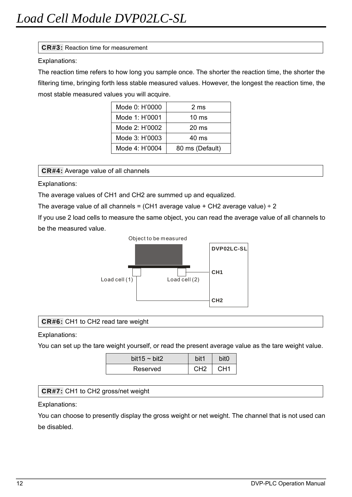### **CR#3:** Reaction time for measurement

### Explanations:

The reaction time refers to how long you sample once. The shorter the reaction time, the shorter the filtering time, bringing forth less stable measured values. However, the longest the reaction time, the most stable measured values you will acquire.

| Mode 0: H'0000 | 2 ms            |
|----------------|-----------------|
| Mode 1: H'0001 | $10 \text{ ms}$ |
| Mode 2: H'0002 | $20 \text{ ms}$ |
| Mode 3: H'0003 | $40 \text{ ms}$ |
| Mode 4: H'0004 | 80 ms (Default) |

**CR#4:** Average value of all channels

Explanations:

The average values of CH1 and CH2 are summed up and equalized.

The average value of all channels = (CH1 average value + CH2 average value)  $\div$  2

If you use 2 load cells to measure the same object, you can read the average value of all channels to be the measured value.



### **CR#6:** CH1 to CH2 read tare weight

Explanations:

You can set up the tare weight yourself, or read the present average value as the tare weight value.

| bit $15 \sim \text{bit2}$ |    |  |  |  |
|---------------------------|----|--|--|--|
| Reserved                  | പാ |  |  |  |

# **CR#7:** CH1 to CH2 gross/net weight

Explanations:

You can choose to presently display the gross weight or net weight. The channel that is not used can be disabled.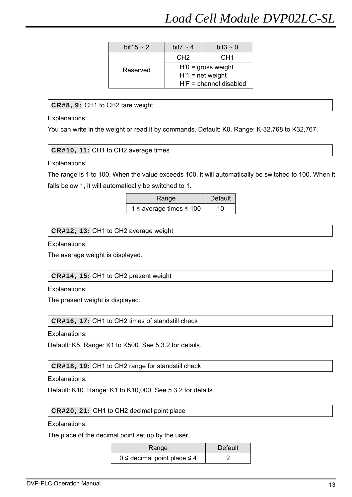| bit $15 \sim 2$ | bit7 $\sim$ 4                                          | bit <sub>3</sub> $\sim$ 0 |  |  |  |  |
|-----------------|--------------------------------------------------------|---------------------------|--|--|--|--|
|                 | CH <sub>2</sub>                                        | CH <sub>1</sub>           |  |  |  |  |
| Reserved        | $H'0$ = gross weight                                   |                           |  |  |  |  |
|                 | $H'1$ = net weight                                     |                           |  |  |  |  |
|                 | $H$ <sup><math>\cdot</math></sup> F = channel disabled |                           |  |  |  |  |

# **CR#8, 9:** CH1 to CH2 tare weight

Explanations:

You can write in the weight or read it by commands. Default: K0. Range: K-32,768 to K32,767.

**CR#10, 11:** CH1 to CH2 average times

Explanations:

The range is 1 to 100. When the value exceeds 100, it will automatically be switched to 100. When it falls below 1, it will automatically be switched to 1.

| Range                             | Default |
|-----------------------------------|---------|
| 1 $\leq$ average times $\leq$ 100 | 10      |

### **CR#12, 13:** CH1 to CH2 average weight

Explanations:

The average weight is displayed.

### **CR#14, 15:** CH1 to CH2 present weight

Explanations:

The present weight is displayed.

**CR#16, 17:** CH1 to CH2 times of standstill check

Explanations:

Default: K5. Range: K1 to K500. See 5.3.2 for details.

### **CR#18, 19:** CH1 to CH2 range for standstill check

Explanations:

Default: K10. Range: K1 to K10,000. See 5.3.2 for details.

### **CR#20, 21:** CH1 to CH2 decimal point place

Explanations:

The place of the decimal point set up by the user.

| Range                               | Default |
|-------------------------------------|---------|
| $0 \le$ decimal point place $\le$ 4 |         |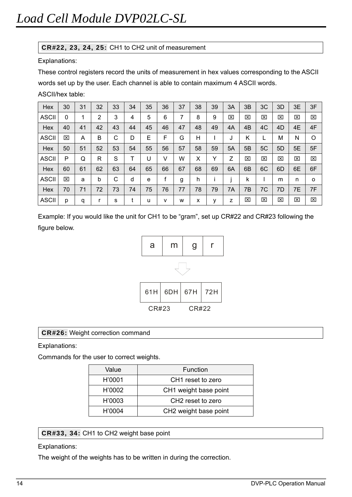# **CR#22, 23, 24, 25:** CH1 to CH2 unit of measurement

Explanations:

These control registers record the units of measurement in hex values corresponding to the ASCII words set up by the user. Each channel is able to contain maximum 4 ASCII words.

ASCII/hex table:

| Hex          | 30 | 31 | 32 | 33 | 34 | 35 | 36 | 37 | 38 | 39 | 3A | 3B | 3C | 3D             | 3E | 3F                      |
|--------------|----|----|----|----|----|----|----|----|----|----|----|----|----|----------------|----|-------------------------|
| <b>ASCII</b> | 0  |    | 2  | 3  | 4  | 5  | 6  | 7  | 8  | 9  | 区  | X  | 区  | 図              | ⊠  | $\mathbf{\overline{X}}$ |
| Hex          | 40 | 41 | 42 | 43 | 44 | 45 | 46 | 47 | 48 | 49 | 4A | 4B | 4C | 4D             | 4E | 4F                      |
| <b>ASCII</b> | 図  | A  | B  | С  | D  | E  | F  | G  | Η  |    | J  | Κ  | L  | M              | Ν  | O                       |
| Hex          | 50 | 51 | 52 | 53 | 54 | 55 | 56 | 57 | 58 | 59 | 5A | 5B | 5C | 5 <sub>D</sub> | 5E | 5F                      |
| <b>ASCII</b> | P  | Q  | R  | S  |    | U  | V  | W  | x  | Υ  | Z  | ⊠  | 区  | 図              | ⊠  | ⊠                       |
| Hex          | 60 | 61 | 62 | 63 | 64 | 65 | 66 | 67 | 68 | 69 | 6A | 6B | 6C | 6D             | 6E | 6F                      |
| <b>ASCII</b> | ⊠  | а  | b  | С  | d  | e  |    | g  | h  |    |    | k  |    | m              | n  | $\Omega$                |
| Hex          | 70 | 71 | 72 | 73 | 74 | 75 | 76 | 77 | 78 | 79 | 7A | 7B | 7C | 7D             | 7E | 7F                      |
| <b>ASCII</b> | р  | q  | r  | s  | ٠  | u  | v  | W  | x  | у  | z  | ⊠  | 図  | 区              | ⊠  | ⊠                       |

Example: If you would like the unit for CH1 to be "gram", set up CR#22 and CR#23 following the figure below.



# **CR#26:** Weight correction command

Explanations:

Commands for the user to correct weights.

| Value  | Function                      |
|--------|-------------------------------|
| H'0001 | CH <sub>1</sub> reset to zero |
| H'0002 | CH1 weight base point         |
| H'0003 | CH <sub>2</sub> reset to zero |
| H'0004 | CH2 weight base point         |

**CR#33, 34:** CH1 to CH2 weight base point

### Explanations:

The weight of the weights has to be written in during the correction.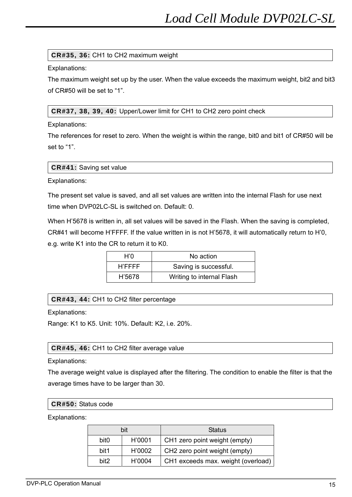### **CR#35, 36:** CH1 to CH2 maximum weight

Explanations:

The maximum weight set up by the user. When the value exceeds the maximum weight, bit2 and bit3 of CR#50 will be set to "1".

**CR#37, 38, 39, 40:** Upper/Lower limit for CH1 to CH2 zero point check

Explanations:

The references for reset to zero. When the weight is within the range, bit0 and bit1 of CR#50 will be set to "1".

Explanations:

The present set value is saved, and all set values are written into the internal Flash for use next time when DVP02LC-SL is switched on. Default: 0.

When H'5678 is written in, all set values will be saved in the Flash. When the saving is completed, CR#41 will become H'FFFF. If the value written in is not H'5678, it will automatically return to H'0, e.g. write K1 into the CR to return it to K0.

| H'O    | No action                 |
|--------|---------------------------|
| H'FFFF | Saving is successful.     |
| H'5678 | Writing to internal Flash |

# **CR#43, 44:** CH1 to CH2 filter percentage

Explanations:

Range: K1 to K5. Unit: 10%. Default: K2, i.e. 20%.

### **CR#45, 46:** CH1 to CH2 filter average value

Explanations:

The average weight value is displayed after the filtering. The condition to enable the filter is that the average times have to be larger than 30.

### **CR#50:** Status code

Explanations:

|                  | bit    | <b>Status</b>                             |
|------------------|--------|-------------------------------------------|
| bit <sub>0</sub> | H'0001 | CH1 zero point weight (empty)             |
| bit1             | H'0002 | CH <sub>2</sub> zero point weight (empty) |
| hit <sub>2</sub> | H'0004 | CH1 exceeds max. weight (overload)        |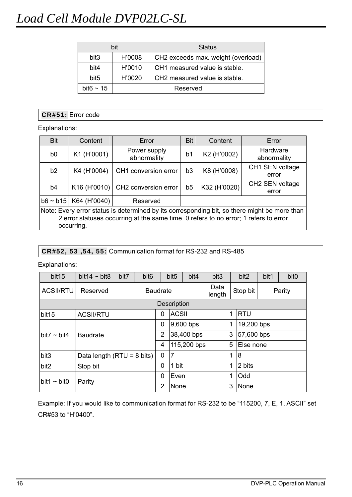# *Load Cell Module DVP02LC-SL*

|                  | bit      | <b>Status</b>                             |  |  |
|------------------|----------|-------------------------------------------|--|--|
| bit <sub>3</sub> | H'0008   | CH2 exceeds max. weight (overload)        |  |  |
| bit4             | H'0010   | CH1 measured value is stable.             |  |  |
| bit <sub>5</sub> | H'0020   | CH <sub>2</sub> measured value is stable. |  |  |
| bit $6 \sim 15$  | Reserved |                                           |  |  |

### **CR#51:** Error code

Explanations:

| <b>Bit</b>                                                                                                                                                                                         | Content                  | Error                                     | <b>Bit</b>     | Content      | Error                    |  |  |  |  |
|----------------------------------------------------------------------------------------------------------------------------------------------------------------------------------------------------|--------------------------|-------------------------------------------|----------------|--------------|--------------------------|--|--|--|--|
| b0                                                                                                                                                                                                 | K1 (H'0001)              | Power supply<br>abnormality               | b1             | K2 (H'0002)  | Hardware<br>abnormality  |  |  |  |  |
| b2                                                                                                                                                                                                 | K4 (H'0004)              | CH1 conversion error                      | b <sub>3</sub> | K8 (H'0008)  | CH1 SEN voltage<br>error |  |  |  |  |
| b <sub>4</sub>                                                                                                                                                                                     |                          | K16 (H'0010) $\vert$ CH2 conversion error | b <sub>5</sub> | K32 (H'0020) | CH2 SEN voltage<br>error |  |  |  |  |
| $b6 \sim b15$                                                                                                                                                                                      | K64 (H'0040)<br>Reserved |                                           |                |              |                          |  |  |  |  |
| Note: Every error status is determined by its corresponding bit, so there might be more than<br>2 error statuses occurring at the same time. 0 refers to no error; 1 refers to error<br>occurring. |                          |                                           |                |              |                          |  |  |  |  |

### **CR#52, 53 ,54, 55:** Communication format for RS-232 and RS-485

### Explanations:

| bit <sub>15</sub> | bit $14 \sim$ bit 8           | bit7 | bit <sub>6</sub>   |                | bit <sub>5</sub> | bit4         | bit <sub>3</sub> |            | bit2       | bit1 | bit <sub>0</sub> |
|-------------------|-------------------------------|------|--------------------|----------------|------------------|--------------|------------------|------------|------------|------|------------------|
| <b>ACSII/RTU</b>  | Reserved                      |      | <b>Baudrate</b>    |                |                  |              | Data<br>length   |            | Stop bit   |      | Parity           |
|                   |                               |      | <b>Description</b> |                |                  |              |                  |            |            |      |                  |
| bit15             | <b>ACSII/RTU</b>              |      |                    |                |                  | <b>ACSII</b> |                  |            | <b>RTU</b> |      |                  |
|                   |                               |      | 0                  | 9,600 bps      |                  |              | 1                | 19,200 bps |            |      |                  |
| bit7 $\sim$ bit4  | <b>Baudrate</b>               |      |                    | $\overline{2}$ | 38,400 bps       |              |                  | 3          | 57,600 bps |      |                  |
|                   |                               |      |                    |                | 115,200 bps      |              |                  | 5          | Else none  |      |                  |
| bit3              | Data length ( $RTU = 8$ bits) |      |                    | 0              | $\overline{7}$   |              |                  | 1          | 8          |      |                  |
| bit <sub>2</sub>  | Stop bit                      |      |                    | 0              | 1 bit            |              | 1                | 2 bits     |            |      |                  |
| bit1 $\sim$ bit0  | Parity                        |      |                    | 0              | Even             |              | 1                | Odd        |            |      |                  |
|                   |                               |      |                    | $\overline{2}$ | None             |              |                  | 3          | None       |      |                  |

Example: If you would like to communication format for RS-232 to be "115200, 7, E, 1, ASCII" set CR#53 to "H'0400".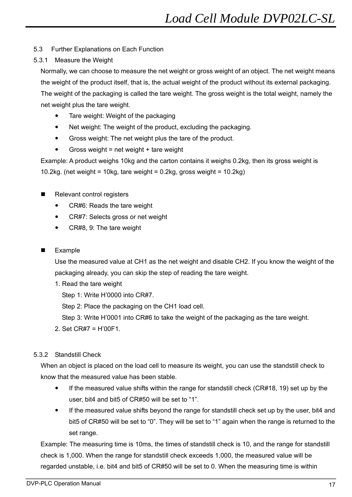# 5.3 Further Explanations on Each Function

# 5.3.1 Measure the Weight

Normally, we can choose to measure the net weight or gross weight of an object. The net weight means the weight of the product itself, that is, the actual weight of the product without its external packaging. The weight of the packaging is called the tare weight. The gross weight is the total weight, namely the net weight plus the tare weight.

- Tare weight: Weight of the packaging
- Net weight: The weight of the product, excluding the packaging.
- Gross weight: The net weight plus the tare of the product.
- $\bullet$  Gross weight = net weight + tare weight

Example: A product weighs 10kg and the carton contains it weighs 0.2kg, then its gross weight is

10.2kg. (net weight = 10kg, tare weight =  $0.2$ kg, gross weight =  $10.2$ kg)

- Relevant control registers
	- CR#6: Reads the tare weight
	- CR#7: Selects gross or net weight
	- CR#8, 9: The tare weight

# Example

Use the measured value at CH1 as the net weight and disable CH2. If you know the weight of the packaging already, you can skip the step of reading the tare weight.

1. Read the tare weight

Step 1: Write H'0000 into CR#7.

Step 2: Place the packaging on the CH1 load cell.

Step 3: Write H'0001 into CR#6 to take the weight of the packaging as the tare weight.

2. Set CR#7 = H'00F1.

# 5.3.2 Standstill Check

When an object is placed on the load cell to measure its weight, you can use the standstill check to know that the measured value has been stable.

- If the measured value shifts within the range for standstill check (CR#18, 19) set up by the user, bit4 and bit5 of CR#50 will be set to "1".
- If the measured value shifts beyond the range for standstill check set up by the user, bit4 and bit5 of CR#50 will be set to "0". They will be set to "1" again when the range is returned to the set range.

Example: The measuring time is 10ms, the times of standstill check is 10, and the range for standstill check is 1,000. When the range for standstill check exceeds 1,000, the measured value will be regarded unstable, i.e. bit4 and bit5 of CR#50 will be set to 0. When the measuring time is within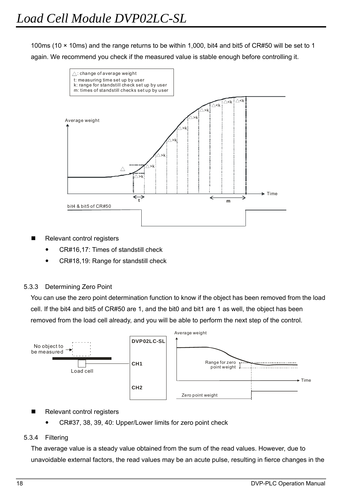100ms (10 × 10ms) and the range returns to be within 1,000, bit4 and bit5 of CR#50 will be set to 1 again. We recommend you check if the measured value is stable enough before controlling it.



- Relevant control registers
	- CR#16,17: Times of standstill check
	- CR#18,19: Range for standstill check

### 5.3.3 Determining Zero Point

You can use the zero point determination function to know if the object has been removed from the load cell. If the bit4 and bit5 of CR#50 are 1, and the bit0 and bit1 are 1 as well, the object has been removed from the load cell already, and you will be able to perform the next step of the control.



- Relevant control registers
	- CR#37, 38, 39, 40: Upper/Lower limits for zero point check

### 5.3.4 Filtering

The average value is a steady value obtained from the sum of the read values. However, due to unavoidable external factors, the read values may be an acute pulse, resulting in fierce changes in the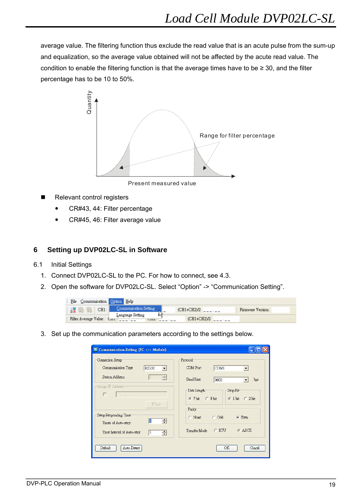average value. The filtering function thus exclude the read value that is an acute pulse from the sum-up and equalization, so the average value obtained will not be affected by the acute read value. The condition to enable the filtering function is that the average times have to be ≥ 30, and the filter percentage has to be 10 to 50%.



Present measured value

- Relevant control registers
	- CR#43, 44: Filter percentage
	- CR#45, 46: Filter average value

# **6 Setting up DVP02LC-SL in Software**

- 6.1 Initial Settings
	- 1. Connect DVP02LC-SL to the PC. For how to connect, see 4.3.
	- 2. Open the software for DVP02LC-SL. Select "Option" -> "Communication Setting".

| File                  | Communication Option |    | Help                  |       |     |               |  |                   |  |
|-----------------------|----------------------|----|-----------------------|-------|-----|---------------|--|-------------------|--|
| <b>START</b>          | CH <sub>1</sub>      |    | Communication Setting |       | . . | (CH1+CH2)/2   |  | Firmware Version: |  |
|                       |                      |    | Language Setting      |       |     |               |  |                   |  |
| Filter Average Value: |                      | ست |                       | C112. |     | $(CH1+CH2)/2$ |  |                   |  |

3. Set up the communication parameters according to the settings below.

| Connection Setup                                                                                                 | Protocol             |
|------------------------------------------------------------------------------------------------------------------|----------------------|
| Communication Type                                                                                               | <b>COM Port</b>      |
| RS232                                                                                                            | COM1                 |
| $\vert$                                                                                                          | $\blacktriangledown$ |
| <b>Station Address</b>                                                                                           | <b>Baud Rate</b>     |
| 즊                                                                                                                | 9600                 |
| 10                                                                                                               | bps                  |
| -Assign IP Address-                                                                                              | Data Length          |
| г                                                                                                                | Stop Bit             |
| $\label{eq:12} \begin{array}{c} \begin{array}{ccc} \text{(a)} & \text{(b)} & \text{(c)} \end{array} \end{array}$ | $67$ bit $68$ bit    |
| PList                                                                                                            | $6$ 1 bit $6$ 2 bit  |
| Setup Responding Time                                                                                            | Parity               |
| $\equiv$                                                                                                         | $C$ Odd              |
| Ш                                                                                                                | $\epsilon$ Even      |
| Times of Auto-retry:                                                                                             | $\subset$ None       |
| Time Interval of Auto-retry                                                                                      | $G$ ASCII            |
| $\vert$ 3                                                                                                        | C RTU                |
| $\Rightarrow$                                                                                                    | Transfer Mode        |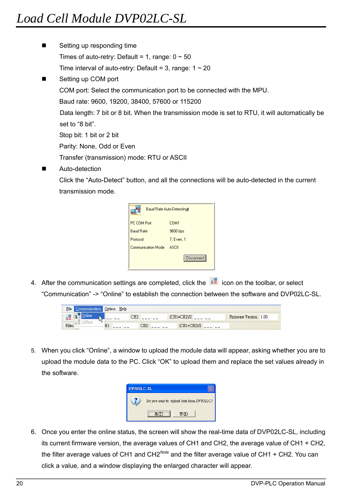- Setting up responding time Times of auto-retry: Default = 1, range:  $0 \sim 50$ Time interval of auto-retry: Default = 3, range:  $1 \sim 20$ ■ Setting up COM port COM port: Select the communication port to be connected with the MPU. Baud rate: 9600, 19200, 38400, 57600 or 115200 Data length: 7 bit or 8 bit. When the transmission mode is set to RTU, it will automatically be set to "8 bit". Stop bit: 1 bit or 2 bit Parity: None, Odd or Even Transfer (transmission) mode: RTU or ASCII
- Auto-detection

Click the "Auto-Detect" button, and all the connections will be auto-detected in the current transmission mode.



4. After the communication settings are completed, click the  $\frac{1}{2}$  icon on the toolbar, or select "Communication" -> "Online" to establish the connection between the software and DVP02LC-SL.

| File   | ${\tt \complement}$ | Option | Help |     |               |                        |
|--------|---------------------|--------|------|-----|---------------|------------------------|
| 旧名     | Щ.,                 |        |      | CH2 | $(CH1+CH2)/2$ | Firmware Version: 1.00 |
| Filter |                     | п.     |      | CH2 | (CH1+CH2)/2   |                        |

5. When you click "Online", a window to upload the module data will appear, asking whether you are to upload the module data to the PC. Click "OK" to upload them and replace the set values already in the software.



6. Once you enter the online status, the screen will show the real-time data of DVP02LC-SL, including its current firmware version, the average values of CH1 and CH2, the average value of CH1 + CH2, the filter average values of CH1 and CH2*Note* and the filter average value of CH1 + CH2. You can click a value, and a window displaying the enlarged character will appear.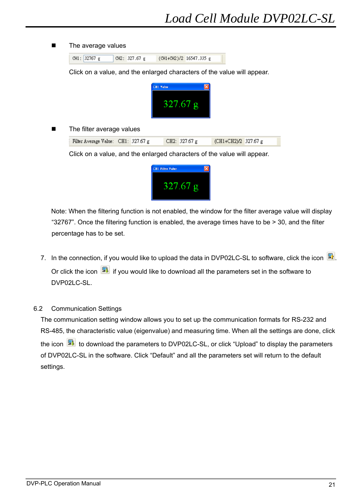#### **The average values**

|  | CH1: 32767 g | CH2: $327.67 g$ | (CH1+CH2)/2 16547.335 g |  |
|--|--------------|-----------------|-------------------------|--|

Click on a value, and the enlarged characters of the value will appear.



#### The filter average values

| Filter Average Value: CH1: 327.67 g | CH2: $327.67 g$ | (CH1+CH2)/2 327.67 g |
|-------------------------------------|-----------------|----------------------|
|-------------------------------------|-----------------|----------------------|

Click on a value, and the enlarged characters of the value will appear.



Note: When the filtering function is not enabled, the window for the filter average value will display "32767". Once the filtering function is enabled, the average times have to be > 30, and the filter percentage has to be set.

7. In the connection, if you would like to upload the data in DVP02LC-SL to software, click the icon  $\Box$ . Or click the icon  $\boxed{\blacksquare}$  if you would like to download all the parameters set in the software to DVP02LC-SL.

### 6.2 Communication Settings

The communication setting window allows you to set up the communication formats for RS-232 and RS-485, the characteristic value (eigenvalue) and measuring time. When all the settings are done, click the icon  $\boxed{\blacksquare}$  to download the parameters to DVP02LC-SL, or click "Upload" to display the parameters of DVP02LC-SL in the software. Click "Default" and all the parameters set will return to the default settings.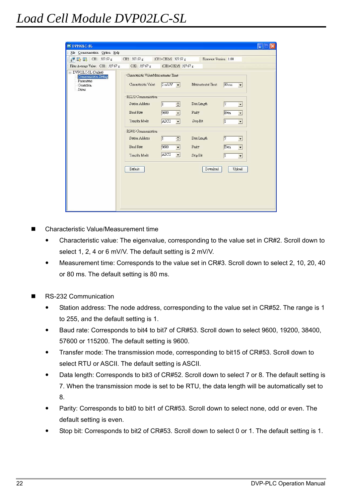| <b>NE DVPO2LC-SL</b>                                                               |                                                               |                                 |                        | u.                                      |
|------------------------------------------------------------------------------------|---------------------------------------------------------------|---------------------------------|------------------------|-----------------------------------------|
| File Communication Option Help                                                     |                                                               |                                 |                        |                                         |
| 图 S CH1: 327.67 g                                                                  | CH2: 327.67 g                                                 | (CH1+CH2)/2 327.67 g            | Firmware Version: 1.00 |                                         |
| Filter Average Value: CH1: 327.67 g                                                | CH2: 327.67 g                                                 | (CH1+CH2)/2 327.67 g            |                        |                                         |
| □ DVP02LC-SL (Online)<br>Communicaton Setting<br>Parameters<br>Conection<br>Status | Characteristic Value/Measurement Time<br>Characteristic Value | $2 \text{ mV/V}$ $\rightarrow$  | Measurement Time       | $80 \text{ ms}$<br>$\blacktriangledown$ |
|                                                                                    | RS232 Communication                                           |                                 |                        |                                         |
|                                                                                    | Station Address                                               | $\div$<br>$\vert$ 1             | Data Length            | 7 <br>$\blacktriangledown$              |
|                                                                                    | <b>Baud Rate</b>                                              | 9600<br>$\vert$                 | Parity                 | Even<br>$\blacktriangledown$            |
|                                                                                    | Transfer Mode                                                 | ASCII<br>$\left  \cdot \right $ | Stop Bit               | $\blacksquare$<br> 1                    |
|                                                                                    | RS485 Communication                                           |                                 |                        |                                         |
|                                                                                    | Station Address                                               | ÷<br>11                         | Data Length            | 7 <br>$\blacktriangledown$              |
|                                                                                    | <b>Baud Rate</b>                                              | 9600<br>$\blacktriangledown$    | Parity                 | Even<br>$\blacktriangledown$            |
|                                                                                    | Transfer Mode                                                 | ASCII<br>$\blacktriangledown$   | Stop Bit               | $\vert$ 1<br>$\overline{\phantom{a}}$   |
|                                                                                    | Default                                                       |                                 | Download               | Upload                                  |
|                                                                                    |                                                               |                                 |                        |                                         |

- Characteristic Value/Measurement time
	- Characteristic value: The eigenvalue, corresponding to the value set in CR#2. Scroll down to select 1, 2, 4 or 6 mV/V. The default setting is 2 mV/V.
	- Measurement time: Corresponds to the value set in CR#3. Scroll down to select 2, 10, 20, 40 or 80 ms. The default setting is 80 ms.
- RS-232 Communication
	- Station address: The node address, corresponding to the value set in CR#52. The range is 1 to 255, and the default setting is 1.
	- Baud rate: Corresponds to bit4 to bit7 of CR#53. Scroll down to select 9600, 19200, 38400, 57600 or 115200. The default setting is 9600.
	- Transfer mode: The transmission mode, corresponding to bit15 of CR#53. Scroll down to select RTU or ASCII. The default setting is ASCII.
	- Data length: Corresponds to bit3 of CR#52. Scroll down to select 7 or 8. The default setting is 7. When the transmission mode is set to be RTU, the data length will be automatically set to 8.
	- Parity: Corresponds to bit0 to bit1 of CR#53. Scroll down to select none, odd or even. The default setting is even.
	- Stop bit: Corresponds to bit2 of CR#53. Scroll down to select 0 or 1. The default setting is 1.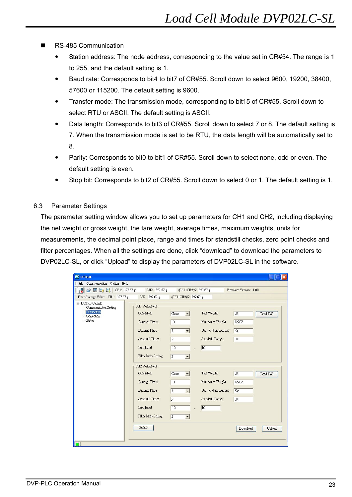- RS-485 Communication
	- Station address: The node address, corresponding to the value set in CR#54. The range is 1 to 255, and the default setting is 1.
	- Baud rate: Corresponds to bit4 to bit7 of CR#55. Scroll down to select 9600, 19200, 38400, 57600 or 115200. The default setting is 9600.
	- Transfer mode: The transmission mode, corresponding to bit15 of CR#55. Scroll down to select RTU or ASCII. The default setting is ASCII.
	- Data length: Corresponds to bit3 of CR#55. Scroll down to select 7 or 8. The default setting is 7. When the transmission mode is set to be RTU, the data length will be automatically set to 8.
	- Parity: Corresponds to bit0 to bit1 of CR#55. Scroll down to select none, odd or even. The default setting is even.
	- Stop bit: Corresponds to bit2 of CR#55. Scroll down to select 0 or 1. The default setting is 1.
- 6.3 Parameter Settings

The parameter setting window allows you to set up parameters for CH1 and CH2, including displaying the net weight or gross weight, the tare weight, average times, maximum weights, units for measurements, the decimal point place, range and times for standstill checks, zero point checks and filter percentages. When all the settings are done, click "download" to download the parameters to DVP02LC-SL, or click "Upload" to display the parameters of DVP02LC-SL in the software.

| <b>EX LCSoft</b>                                                                |                                                                                                                                                                                                                                                                         |                                                                                                                                                                                                                                                             |                                                                                                                                                                                           |                                                                                                |
|---------------------------------------------------------------------------------|-------------------------------------------------------------------------------------------------------------------------------------------------------------------------------------------------------------------------------------------------------------------------|-------------------------------------------------------------------------------------------------------------------------------------------------------------------------------------------------------------------------------------------------------------|-------------------------------------------------------------------------------------------------------------------------------------------------------------------------------------------|------------------------------------------------------------------------------------------------|
| Communication Option Help<br>File                                               |                                                                                                                                                                                                                                                                         |                                                                                                                                                                                                                                                             |                                                                                                                                                                                           |                                                                                                |
| 録<br>CH1: 327.67 g<br>$\beta$ HR H                                              | CH2: 327.67 g                                                                                                                                                                                                                                                           |                                                                                                                                                                                                                                                             | (CH1+CH2)/2 327.67 g                                                                                                                                                                      | Firmware Version: 1.00                                                                         |
| Filter Average Value: CH1: 327.67 g                                             | CH2: 327.67 g                                                                                                                                                                                                                                                           | (CH1+CH2)/2 327.67 g                                                                                                                                                                                                                                        |                                                                                                                                                                                           |                                                                                                |
| E-LCSoft (Online)<br>Communicaton Setting<br>Parameters<br>Correction<br>Status | CH1 Parameters<br>Gross/Net<br>Average Times<br>Decimal Place<br>Standstill Times<br>Zero Band<br>Filter Ratio Setting<br>CH <sub>2</sub> Parameters<br>Gross/Net<br>Average Times<br>Decimal Place<br>Standstill Times<br>Zero Band<br>Filter Ratio Setting<br>Default | Gross<br>$\vert$<br>$\overline{10}$<br>$\vert$ <sub>2</sub><br>$\sqrt{5}$<br>$-10$<br>$\sqrt{2}$<br>$\blacktriangledown$<br>Gross<br>$\overline{10}$<br>$\overline{2}$<br>$\blacktriangledown$<br>$\sqrt{5}$<br>$-10$<br>$\sqrt{2}$<br>$\blacktriangledown$ | Tare Weight<br>Maximum Weight<br>Unit of Measurement<br>Standstill Range<br>10<br>$\tilde{ }$<br>Tare Weight<br>Maximum Weight<br>Unit of Measurement<br>Standstill Range<br>10<br>$\sim$ | 10<br>Read TW<br>32767<br>Kg<br>10<br>10<br>Read TW<br>32767<br>Kg<br>10<br>Download<br>Upload |
|                                                                                 |                                                                                                                                                                                                                                                                         |                                                                                                                                                                                                                                                             |                                                                                                                                                                                           |                                                                                                |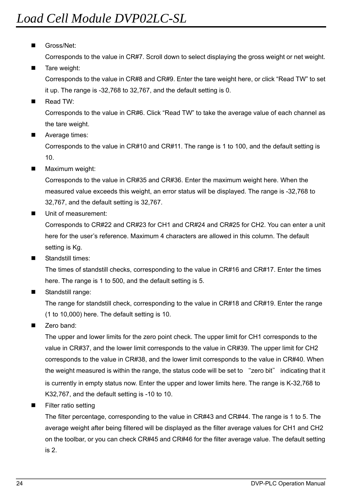Gross/Net:

Corresponds to the value in CR#7. Scroll down to select displaying the gross weight or net weight.

Tare weight:

Corresponds to the value in CR#8 and CR#9. Enter the tare weight here, or click "Read TW" to set it up. The range is -32,768 to 32,767, and the default setting is 0.

Read TW:

Corresponds to the value in CR#6. Click "Read TW" to take the average value of each channel as the tare weight.

Average times:

Corresponds to the value in CR#10 and CR#11. The range is 1 to 100, and the default setting is 10.

Maximum weight:

Corresponds to the value in CR#35 and CR#36. Enter the maximum weight here. When the measured value exceeds this weight, an error status will be displayed. The range is -32,768 to 32,767, and the default setting is 32,767.

Unit of measurement:

Corresponds to CR#22 and CR#23 for CH1 and CR#24 and CR#25 for CH2. You can enter a unit here for the user's reference. Maximum 4 characters are allowed in this column. The default setting is Kg.

Standstill times:

The times of standstill checks, corresponding to the value in CR#16 and CR#17. Enter the times here. The range is 1 to 500, and the default setting is 5.

Standstill range:

The range for standstill check, corresponding to the value in CR#18 and CR#19. Enter the range (1 to 10,000) here. The default setting is 10.

Zero band:

The upper and lower limits for the zero point check. The upper limit for CH1 corresponds to the value in CR#37, and the lower limit corresponds to the value in CR#39. The upper limit for CH2 corresponds to the value in CR#38, and the lower limit corresponds to the value in CR#40. When the weight measured is within the range, the status code will be set to "zero bit" indicating that it is currently in empty status now. Enter the upper and lower limits here. The range is K-32,768 to K32,767, and the default setting is -10 to 10.

Filter ratio setting

The filter percentage, corresponding to the value in CR#43 and CR#44. The range is 1 to 5. The average weight after being filtered will be displayed as the filter average values for CH1 and CH2 on the toolbar, or you can check CR#45 and CR#46 for the filter average value. The default setting is 2.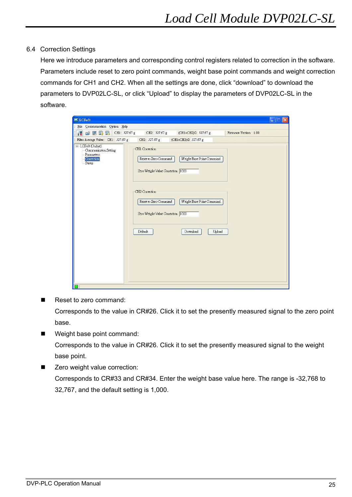### 6.4 Correction Settings

Here we introduce parameters and corresponding control registers related to correction in the software. Parameters include reset to zero point commands, weight base point commands and weight correction commands for CH1 and CH2. When all the settings are done, click "download" to download the parameters to DVP02LC-SL, or click "Upload" to display the parameters of DVP02LC-SL in the software.

| <b>EX LCSoft</b>                                                                                                                                                                                                                                                                                                                                                                                                                                                                              |                                                                                                                                                                         |                                                                              | $\times$<br>ш          |
|-----------------------------------------------------------------------------------------------------------------------------------------------------------------------------------------------------------------------------------------------------------------------------------------------------------------------------------------------------------------------------------------------------------------------------------------------------------------------------------------------|-------------------------------------------------------------------------------------------------------------------------------------------------------------------------|------------------------------------------------------------------------------|------------------------|
| File Communication Option Help                                                                                                                                                                                                                                                                                                                                                                                                                                                                |                                                                                                                                                                         |                                                                              |                        |
| $\mathfrak{S} \boxtimes \blacksquare$ $\blacksquare$ $\blacksquare$ $\blacksquare$ $\blacksquare$ $\blacksquare$ $\blacksquare$ $\blacksquare$ $\blacksquare$ $\blacksquare$ $\blacksquare$ $\blacksquare$ $\blacksquare$ $\blacksquare$ $\blacksquare$ $\blacksquare$ $\blacksquare$ $\blacksquare$ $\blacksquare$ $\blacksquare$ $\blacksquare$ $\blacksquare$ $\blacksquare$ $\blacksquare$ $\blacksquare$ $\blacksquare$ $\blacksquare$ $\blacksquare$ $\blacksquare$ $\blacksquare$<br>課 | CH2: 327.67 g                                                                                                                                                           | (CH1+CH2)/2 327.67 g                                                         | Firmware Version: 1.00 |
| Filter Average Value: CH1: 327.67 g                                                                                                                                                                                                                                                                                                                                                                                                                                                           | CH2: 327.67 g                                                                                                                                                           | (CH1+CH2)/2 327.67 g                                                         |                        |
| $\Box$ LCSoft (Online)<br>Communicaton Setting<br>Parameters<br>Conection<br>Status<br>п                                                                                                                                                                                                                                                                                                                                                                                                      | CH1 Correction<br>Reset to Zero Command<br>Zero Weight Value Correction 1000<br>CH2 Correction<br>Reset to Zero Command<br>Zero Weight Value Correction 1000<br>Default | Weight Base Point Command<br>Weight Base Point Command<br>Download<br>Upload |                        |
|                                                                                                                                                                                                                                                                                                                                                                                                                                                                                               |                                                                                                                                                                         |                                                                              |                        |

Reset to zero command:

Corresponds to the value in CR#26. Click it to set the presently measured signal to the zero point base.

- Weight base point command: Corresponds to the value in CR#26. Click it to set the presently measured signal to the weight base point.
- Zero weight value correction: Corresponds to CR#33 and CR#34. Enter the weight base value here. The range is -32,768 to 32,767, and the default setting is 1,000.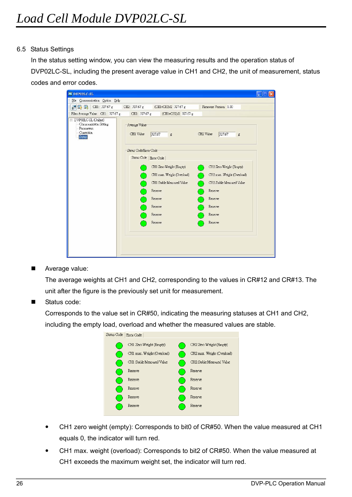### 6.5 Status Settings

In the status setting window, you can view the measuring results and the operation status of DVP02LC-SL, including the present average value in CH1 and CH2, the unit of measurement, status codes and error codes.

| <b>NE DYPOZLC-SL</b>                                                                             |                                                                                               |  |
|--------------------------------------------------------------------------------------------------|-----------------------------------------------------------------------------------------------|--|
| File Communication Option Help                                                                   |                                                                                               |  |
| $\mathbb{F}$ $\mathbb{F}$ $\mathbb{F}$ CH1: 327.67 g                                             | Firmware Version: 1.00<br>CH2: 327.67 g<br>(CH1+CH2)/2 327.67 g                               |  |
| Filter Average Value: CH1: 327.67 g                                                              | CH2: 327.67 g<br>(CH1+CH2)/2 327.67 g                                                         |  |
| □ DVP02LC-SL (Online)<br>Communicaton Setting<br>Parameters<br>Correction<br>Status <sup>1</sup> | Average Value<br>CH1 Value<br>327.67<br>CH2 Value<br>327.67<br>$\ensuremath{\mathsf{g}}$<br>g |  |
|                                                                                                  | Status Code/Error Code                                                                        |  |
|                                                                                                  | Status Code Error Code                                                                        |  |
|                                                                                                  | CH1 Zero Weight (Empty)<br>CH2 Zero Weight (Empty)                                            |  |
|                                                                                                  | CH2 max. Weight (Overload)<br>CH1 max. Weight (Overload)                                      |  |
|                                                                                                  | CH2 Stable Measured Value<br>CH1 Stable Measured Value                                        |  |
|                                                                                                  | Reserve<br>Reserve                                                                            |  |
|                                                                                                  | Reserve<br><b>Reserve</b>                                                                     |  |
|                                                                                                  | Reserve<br>Reserve                                                                            |  |
|                                                                                                  | Reserve<br>Reserve                                                                            |  |
|                                                                                                  | Reserve<br>Reserve                                                                            |  |
|                                                                                                  |                                                                                               |  |
|                                                                                                  |                                                                                               |  |
|                                                                                                  |                                                                                               |  |

Average value:

The average weights at CH1 and CH2, corresponding to the values in CR#12 and CR#13. The unit after the figure is the previously set unit for measurement.

Status code:

Corresponds to the value set in CR#50, indicating the measuring statuses at CH1 and CH2, including the empty load, overload and whether the measured values are stable.

| atus Code | Error Code                 |                            |
|-----------|----------------------------|----------------------------|
|           | CH1 Zero Weight (Empty)    | CH2 Zero Weight (Empty)    |
|           | CH1 max. Weight (Overload) | CH2 max. Weight (Overload) |
|           | CH1 Stable Measured Value  | CH2 Stable Measured Value  |
|           | Reserve                    | Reserve                    |
|           | Reserve                    | Reserve                    |
|           | Reserve                    | Reserve                    |
|           | Reserve                    | Reserve                    |
|           | Reserve                    | Reserve                    |
|           |                            |                            |

- CH1 zero weight (empty): Corresponds to bit0 of CR#50. When the value measured at CH1 equals 0, the indicator will turn red.
- CH1 max. weight (overload): Corresponds to bit2 of CR#50. When the value measured at CH1 exceeds the maximum weight set, the indicator will turn red.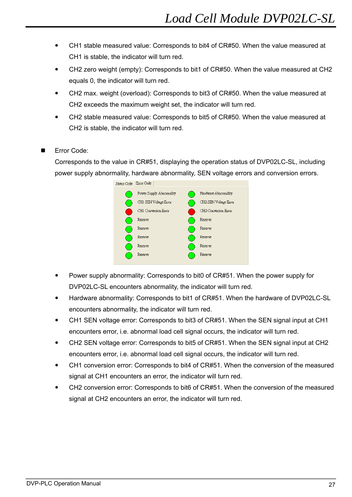- CH1 stable measured value: Corresponds to bit4 of CR#50. When the value measured at CH1 is stable, the indicator will turn red.
- CH2 zero weight (empty): Corresponds to bit1 of CR#50. When the value measured at CH2 equals 0, the indicator will turn red.
- CH2 max. weight (overload): Corresponds to bit3 of CR#50. When the value measured at CH2 exceeds the maximum weight set, the indicator will turn red.
- CH2 stable measured value: Corresponds to bit5 of CR#50. When the value measured at CH2 is stable, the indicator will turn red.
- Error Code:

Corresponds to the value in CR#51, displaying the operation status of DVP02LC-SL, including power supply abnormality, hardware abnormality, SEN voltage errors and conversion errors.



- Power supply abnormality: Corresponds to bit0 of CR#51. When the power supply for DVP02LC-SL encounters abnormality, the indicator will turn red.
- Hardware abnormality: Corresponds to bit1 of CR#51. When the hardware of DVP02LC-SL encounters abnormality, the indicator will turn red.
- CH1 SEN voltage error: Corresponds to bit3 of CR#51. When the SEN signal input at CH1 encounters error, i.e. abnormal load cell signal occurs, the indicator will turn red.
- y CH2 SEN voltage error: Corresponds to bit5 of CR#51. When the SEN signal input at CH2 encounters error, i.e. abnormal load cell signal occurs, the indicator will turn red.
- y CH1 conversion error: Corresponds to bit4 of CR#51. When the conversion of the measured signal at CH1 encounters an error, the indicator will turn red.
- y CH2 conversion error: Corresponds to bit6 of CR#51. When the conversion of the measured signal at CH2 encounters an error, the indicator will turn red.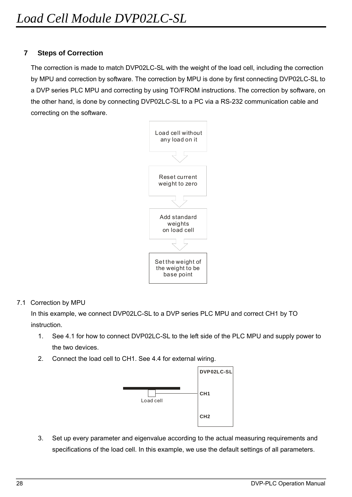# **7 Steps of Correction**

The correction is made to match DVP02LC-SL with the weight of the load cell, including the correction by MPU and correction by software. The correction by MPU is done by first connecting DVP02LC-SL to a DVP series PLC MPU and correcting by using TO/FROM instructions. The correction by software, on the other hand, is done by connecting DVP02LC-SL to a PC via a RS-232 communication cable and correcting on the software.



### 7.1 Correction by MPU

In this example, we connect DVP02LC-SL to a DVP series PLC MPU and correct CH1 by TO instruction.

- 1. See 4.1 for how to connect DVP02LC-SL to the left side of the PLC MPU and supply power to the two devices.
- 2. Connect the load cell to CH1. See 4.4 for external wiring.



3. Set up every parameter and eigenvalue according to the actual measuring requirements and specifications of the load cell. In this example, we use the default settings of all parameters.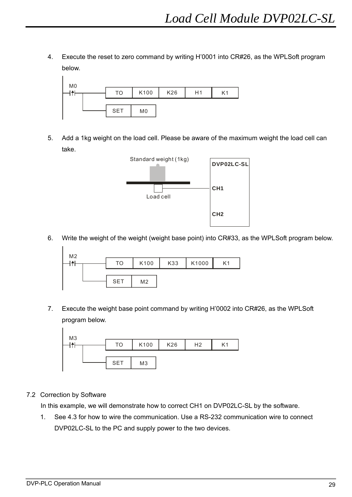4. Execute the reset to zero command by writing H'0001 into CR#26, as the WPLSoft program below.



5. Add a 1kg weight on the load cell. Please be aware of the maximum weight the load cell can take.



6. Write the weight of the weight (weight base point) into CR#33, as the WPLSoft program below.

| M <sub>2</sub> |            |                |     |       |                |
|----------------|------------|----------------|-----|-------|----------------|
|                | TO         | K100           | K33 | K1000 | K <sub>1</sub> |
|                |            |                |     |       |                |
|                | <b>SET</b> | M <sub>2</sub> |     |       |                |

7. Execute the weight base point command by writing H'0002 into CR#26, as the WPLSoft program below.



# 7.2 Correction by Software

 $\mathbf{I}$ 

In this example, we will demonstrate how to correct CH1 on DVP02LC-SL by the software.

1. See 4.3 for how to wire the communication. Use a RS-232 communication wire to connect DVP02LC-SL to the PC and supply power to the two devices.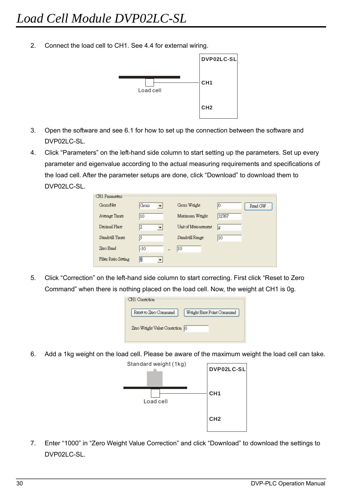2. Connect the load cell to CH1. See 4.4 for external wiring.



- 3. Open the software and see 6.1 for how to set up the connection between the software and DVP02LC-SL.
- 4. Click "Parameters" on the left-hand side column to start setting up the parameters. Set up every parameter and eigenvalue according to the actual measuring requirements and specifications of the load cell. After the parameter setups are done, click "Download" to download them to DVP02LC-SL

| CH1 Parameters:      |               |                     |               |
|----------------------|---------------|---------------------|---------------|
| Gross/Net            | Gross <br>▼   | Gross Weight        | IО<br>Read GW |
| Average Times        | 10            | Maximum Weight      | 32767         |
| Decimal Place        | 12            | Unit of Measurement | lg            |
| Standstill Times     | 5             | Standstill Range    | 10            |
| Zero Band            | -10<br>$\sim$ | 10                  |               |
| Filter Ratio Setting | 12            |                     |               |

5. Click "Correction" on the left-hand side column to start correcting. First click "Reset to Zero Command" when there is nothing placed on the load cell. Now, the weight at CH1 is 0g.

| Reset to Zero Command          | Weight Base Point Command |
|--------------------------------|---------------------------|
|                                |                           |
|                                |                           |
| Zero Weight Value Correction 0 |                           |

6. Add a 1kg weight on the load cell. Please be aware of the maximum weight the load cell can take.



7. Enter "1000" in "Zero Weight Value Correction" and click "Download" to download the settings to DVP02LC-SL.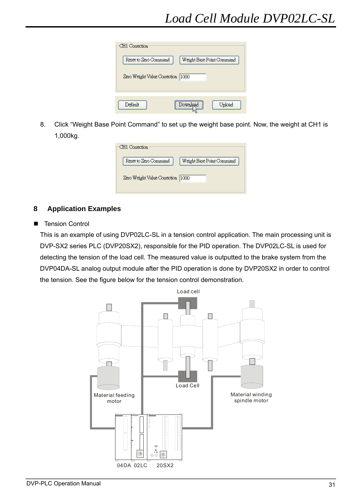| 1000 |  |
|------|--|
|      |  |
|      |  |

8. Click "Weight Base Point Command" to set up the weight base point. Now, the weight at CH1 is 1,000kg.

| Reset to Zero Command             | Weight Base Point Command |
|-----------------------------------|---------------------------|
| Zero Weight Value Correction 1000 |                           |

# **8 Application Examples**

■ Tension Control

This is an example of using DVP02LC-SL in a tension control application. The main processing unit is DVP-SX2 series PLC (DVP20SX2), responsible for the PID operation. The DVP02LC-SL is used for detecting the tension of the load cell. The measured value is outputted to the brake system from the DVP04DA-SL analog output module after the PID operation is done by DVP20SX2 in order to control the tension. See the figure below for the tension control demonstration.

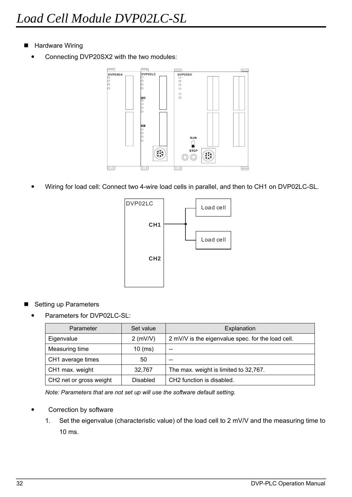- Hardware Wiring
	- Connecting DVP20SX2 with the two modules:



Wiring for load cell: Connect two 4-wire load cells in parallel, and then to CH1 on DVP02LC-SL.



- Setting up Parameters
	- Parameters for DVP02LC-SL:

| Parameter               | Set value       | Explanation                                       |
|-------------------------|-----------------|---------------------------------------------------|
| Eigenvalue              | $2$ (mV/V)      | 2 mV/V is the eigenvalue spec. for the load cell. |
| Measuring time          | $10$ (ms)       | --                                                |
| CH1 average times       | 50              | --                                                |
| CH1 max. weight         | 32.767          | The max. weight is limited to 32,767.             |
| CH2 net or gross weight | <b>Disabled</b> | CH2 function is disabled.                         |

*Note: Parameters that are not set up will use the software default setting.* 

- Correction by software
	- 1. Set the eigenvalue (characteristic value) of the load cell to 2 mV/V and the measuring time to 10 ms.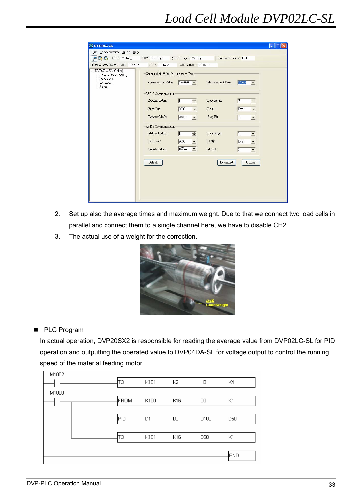| <b>P</b> ■ CH1: 327.67 g                                                           | CH2: 327.67 g                                                 | (CH1+CH2)/2 327.67 g           | Firmware Version: 1.00 |                                        |  |
|------------------------------------------------------------------------------------|---------------------------------------------------------------|--------------------------------|------------------------|----------------------------------------|--|
| Filter Average Value: CH1: 327.67 g                                                | CH2: 327.67 g                                                 | (CH1+CH2)/2 327.67 g           |                        |                                        |  |
| E-DVP02LC-SL (Online)<br>Communicaton Setting<br>Parameters<br>Conection<br>Status | Characteristic Value/Measurement Time<br>Characteristic Value | $2 \text{ mV/V}$ $\rightarrow$ | Measurement Time       | $10 \text{ ms}$<br>$\vert \cdot \vert$ |  |
|                                                                                    | RS232 Communication                                           |                                |                        |                                        |  |
|                                                                                    | Station Address                                               | $\sqrt{1}$<br>$\div$           | Data Length            | $\sqrt{7}$<br>$\blacktriangledown$     |  |
|                                                                                    | <b>Baud Rate</b>                                              | 9600<br>$\vert$                | Parity                 | Even<br>$\blacktriangledown$           |  |
|                                                                                    | Transfer Mode                                                 | ASCII<br>$\vert$               | Stop Bit               | $\vert$ 1<br>$\vert \cdot \vert$       |  |
|                                                                                    | RS485 Communication                                           |                                |                        |                                        |  |
|                                                                                    | Station Address                                               | $\overline{1}$<br>$\div$       | Data Length            | 7 <br>$\blacktriangledown$             |  |
|                                                                                    | <b>Baud Rate</b>                                              | 9600<br>$\left  \cdot \right $ | Parity                 | Even<br>$\blacktriangledown$           |  |
|                                                                                    | Transfer Mode                                                 | ASCII<br>$\vert \cdot \vert$   | Stop Bit               | $\vert$ 1<br>$\vert \cdot \vert$       |  |
|                                                                                    | Default                                                       |                                | Download               | Upload                                 |  |
|                                                                                    |                                                               |                                |                        |                                        |  |
|                                                                                    |                                                               |                                |                        |                                        |  |
|                                                                                    |                                                               |                                |                        |                                        |  |

- 2. Set up also the average times and maximum weight. Due to that we connect two load cells in parallel and connect them to a single channel here, we have to disable CH2.
- 3. The actual use of a weight for the correction.



■ PLC Program

In actual operation, DVP20SX2 is responsible for reading the average value from DVP02LC-SL for PID operation and outputting the operated value to DVP04DA-SL for voltage output to control the running speed of the material feeding motor.

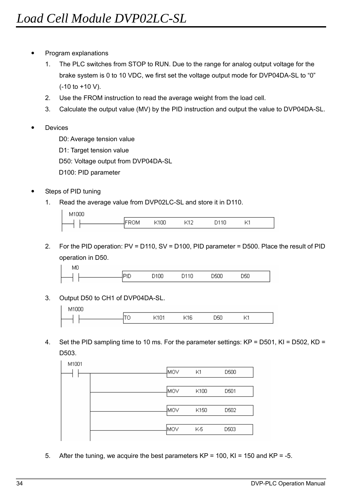- Program explanations
	- 1. The PLC switches from STOP to RUN. Due to the range for analog output voltage for the brake system is 0 to 10 VDC, we first set the voltage output mode for DVP04DA-SL to "0" (-10 to +10 V).
	- 2. Use the FROM instruction to read the average weight from the load cell.
	- 3. Calculate the output value (MV) by the PID instruction and output the value to DVP04DA-SL.
- **Devices**

D0: Average tension value

D1: Target tension value

D50: Voltage output from DVP04DA-SL

D100: PID parameter

- Steps of PID tuning
	- 1. Read the average value from DVP02LC-SL and store it in D110.

 $\mathsf{L}_{\mathsf{M1000}}$ 

| . | IB. | 'ПL. | 1 a m |  |  |
|---|-----|------|-------|--|--|
|   |     |      |       |  |  |

2. For the PID operation: PV = D110, SV = D100, PID parameter = D500. Place the result of PID operation in D50.



3. Output D50 to CH1 of DVP04DA-SL.

| ΟО<br>M |   |         |    |    |          |
|---------|---|---------|----|----|----------|
|         | ∼ | -<br>יי | া6 | Τ. | z,<br>×. |
|         |   |         |    |    |          |

4. Set the PID sampling time to 10 ms. For the parameter settings: KP = D501, KI = D502, KD = D503.



5. After the tuning, we acquire the best parameters  $KP = 100$ ,  $KI = 150$  and  $KP = -5$ .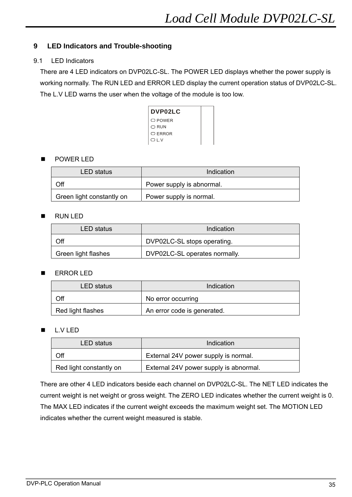# **9 LED Indicators and Trouble-shooting**

### 9.1 LED Indicators

There are 4 LED indicators on DVP02LC-SL. The POWER LED displays whether the power supply is working normally. The RUN LED and ERROR LED display the current operation status of DVP02LC-SL. The L.V LED warns the user when the voltage of the module is too low.

| <b>DVP02LC</b> |  |
|----------------|--|
| ○ POWER        |  |
| $\cap$ RUN     |  |
| ○ FRROR        |  |
| $\bigcirc$ i v |  |

### POWER LED

| LED status                | Indication                |
|---------------------------|---------------------------|
| Off                       | Power supply is abnormal. |
| Green light constantly on | Power supply is normal.   |

### RUN LED

| LED status          | Indication                    |
|---------------------|-------------------------------|
| Off                 | DVP02LC-SL stops operating.   |
| Green light flashes | DVP02LC-SL operates normally. |

### ERROR LED

| LED status        | Indication                  |
|-------------------|-----------------------------|
| Off               | No error occurring          |
| Red light flashes | An error code is generated. |

# ■ L.V LED

| LED status              | Indication                             |
|-------------------------|----------------------------------------|
| Off                     | External 24V power supply is normal.   |
| Red light constantly on | External 24V power supply is abnormal. |

There are other 4 LED indicators beside each channel on DVP02LC-SL. The NET LED indicates the current weight is net weight or gross weight. The ZERO LED indicates whether the current weight is 0. The MAX LED indicates if the current weight exceeds the maximum weight set. The MOTION LED indicates whether the current weight measured is stable.